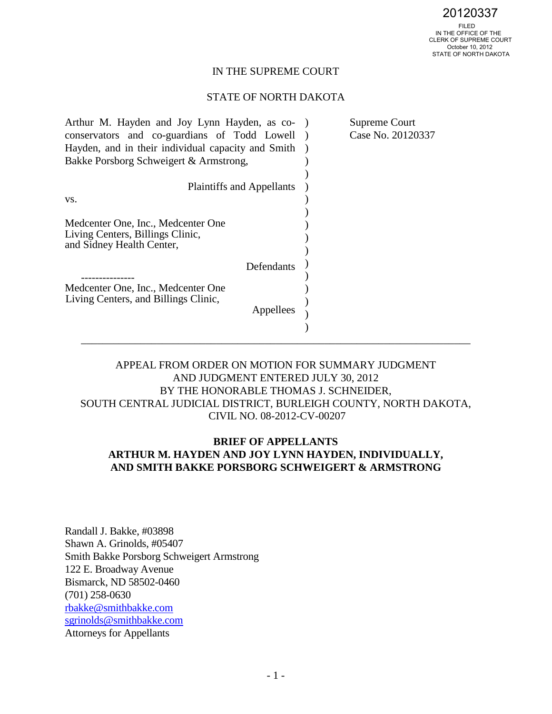# IN THE SUPREME COURT

### STATE OF NORTH DAKOTA

| Arthur M. Hayden and Joy Lynn Hayden, as co-                                                        | Supreme Court     |
|-----------------------------------------------------------------------------------------------------|-------------------|
| conservators and co-guardians of Todd Lowell                                                        | Case No. 20120337 |
| Hayden, and in their individual capacity and Smith                                                  |                   |
| Bakke Porsborg Schweigert & Armstrong,                                                              |                   |
|                                                                                                     |                   |
| <b>Plaintiffs and Appellants</b>                                                                    |                   |
| VS.                                                                                                 |                   |
|                                                                                                     |                   |
| Medcenter One, Inc., Medcenter One<br>Living Centers, Billings Clinic,<br>and Sidney Health Center, |                   |
| Defendants                                                                                          |                   |
| Medcenter One, Inc., Medcenter One<br>Living Centers, and Billings Clinic,<br>Appellees             |                   |
|                                                                                                     |                   |

# APPEAL FROM ORDER ON MOTION FOR SUMMARY JUDGMENT AND JUDGMENT ENTERED JULY 30, 2012 BY THE HONORABLE THOMAS J. SCHNEIDER, SOUTH CENTRAL JUDICIAL DISTRICT, BURLEIGH COUNTY, NORTH DAKOTA, CIVIL NO. 08-2012-CV-00207

# **BRIEF OF APPELLANTS ARTHUR M. HAYDEN AND JOY LYNN HAYDEN, INDIVIDUALLY, AND SMITH BAKKE PORSBORG SCHWEIGERT & ARMSTRONG**

Randall J. Bakke, #03898 Shawn A. Grinolds, #05407 Smith Bakke Porsborg Schweigert Armstrong 122 E. Broadway Avenue Bismarck, ND 58502-0460 (701) 258-0630 [rbakke@smithbakke.com](mailto:rbakke@smithbakke.com) [sgrinolds@smithbakke.com](mailto:sgrinolds@smithbakke.com)  Attorneys for Appellants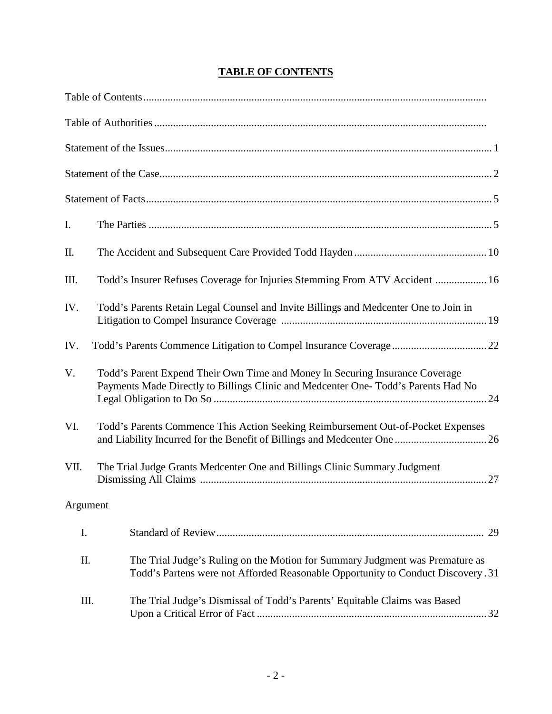| I.       |                                                                                                                                                                   |
|----------|-------------------------------------------------------------------------------------------------------------------------------------------------------------------|
| Π.       |                                                                                                                                                                   |
| Ш.       | Todd's Insurer Refuses Coverage for Injuries Stemming From ATV Accident  16                                                                                       |
| IV.      | Todd's Parents Retain Legal Counsel and Invite Billings and Medcenter One to Join in                                                                              |
| IV.      |                                                                                                                                                                   |
| V.       | Todd's Parent Expend Their Own Time and Money In Securing Insurance Coverage<br>Payments Made Directly to Billings Clinic and Medcenter One-Todd's Parents Had No |
| VI.      | Todd's Parents Commence This Action Seeking Reimbursement Out-of-Pocket Expenses                                                                                  |
| VII.     | The Trial Judge Grants Medcenter One and Billings Clinic Summary Judgment                                                                                         |
| Argument |                                                                                                                                                                   |
| I.       |                                                                                                                                                                   |
| Π.       | The Trial Judge's Ruling on the Motion for Summary Judgment was Premature as<br>Todd's Partens were not Afforded Reasonable Opportunity to Conduct Discovery. 31  |
| Ш.       | The Trial Judge's Dismissal of Todd's Parents' Equitable Claims was Based                                                                                         |

# **TABLE OF CONTENTS**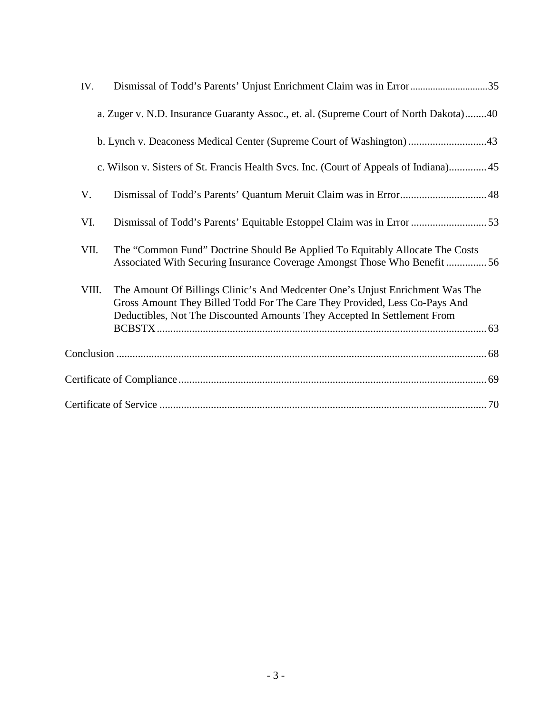| IV.   |                                                                                                                                                                                                                                         |
|-------|-----------------------------------------------------------------------------------------------------------------------------------------------------------------------------------------------------------------------------------------|
|       | a. Zuger v. N.D. Insurance Guaranty Assoc., et. al. (Supreme Court of North Dakota)40                                                                                                                                                   |
|       | b. Lynch v. Deaconess Medical Center (Supreme Court of Washington) 43                                                                                                                                                                   |
|       | c. Wilson v. Sisters of St. Francis Health Svcs. Inc. (Court of Appeals of Indiana) 45                                                                                                                                                  |
| V.    |                                                                                                                                                                                                                                         |
| VI.   |                                                                                                                                                                                                                                         |
| VII.  | The "Common Fund" Doctrine Should Be Applied To Equitably Allocate The Costs<br>Associated With Securing Insurance Coverage Amongst Those Who Benefit 56                                                                                |
| VIII. | The Amount Of Billings Clinic's And Medcenter One's Unjust Enrichment Was The<br>Gross Amount They Billed Todd For The Care They Provided, Less Co-Pays And<br>Deductibles, Not The Discounted Amounts They Accepted In Settlement From |
|       |                                                                                                                                                                                                                                         |
|       |                                                                                                                                                                                                                                         |
|       |                                                                                                                                                                                                                                         |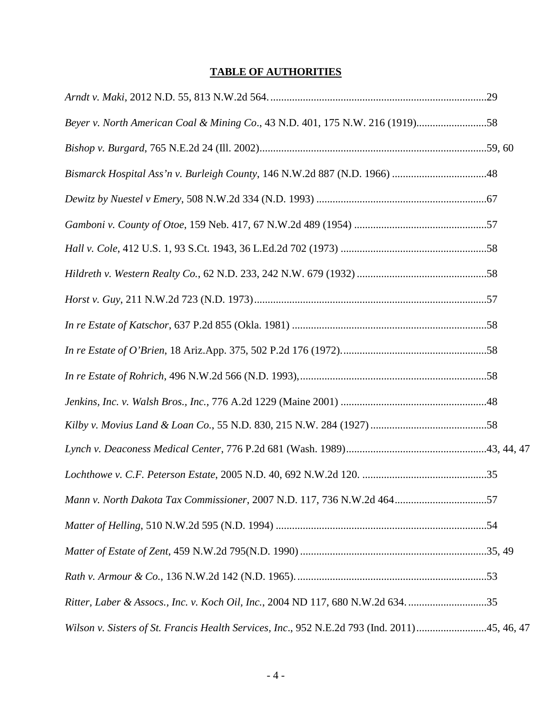# **TABLE OF AUTHORITIES**

| Beyer v. North American Coal & Mining Co., 43 N.D. 401, 175 N.W. 216 (1919)58                |  |
|----------------------------------------------------------------------------------------------|--|
|                                                                                              |  |
|                                                                                              |  |
|                                                                                              |  |
|                                                                                              |  |
|                                                                                              |  |
|                                                                                              |  |
|                                                                                              |  |
|                                                                                              |  |
|                                                                                              |  |
|                                                                                              |  |
|                                                                                              |  |
|                                                                                              |  |
|                                                                                              |  |
|                                                                                              |  |
| Mann v. North Dakota Tax Commissioner, 2007 N.D. 117, 736 N.W.2d 46457                       |  |
|                                                                                              |  |
|                                                                                              |  |
|                                                                                              |  |
| Ritter, Laber & Assocs., Inc. v. Koch Oil, Inc., 2004 ND 117, 680 N.W.2d 634. 35             |  |
| Wilson v. Sisters of St. Francis Health Services, Inc., 952 N.E.2d 793 (Ind. 2011)45, 46, 47 |  |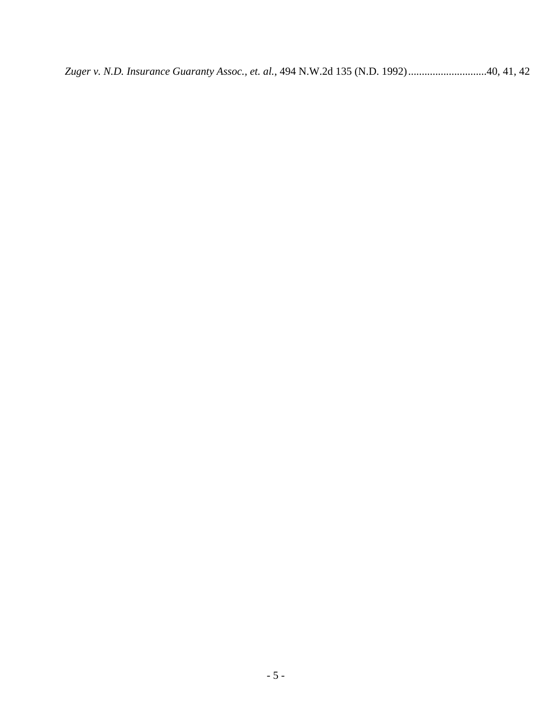*Zuger v. N.D. Insurance Guaranty Assoc., et. al.*, 494 N.W.2d 135 (N.D. 1992).............................40, 41, 42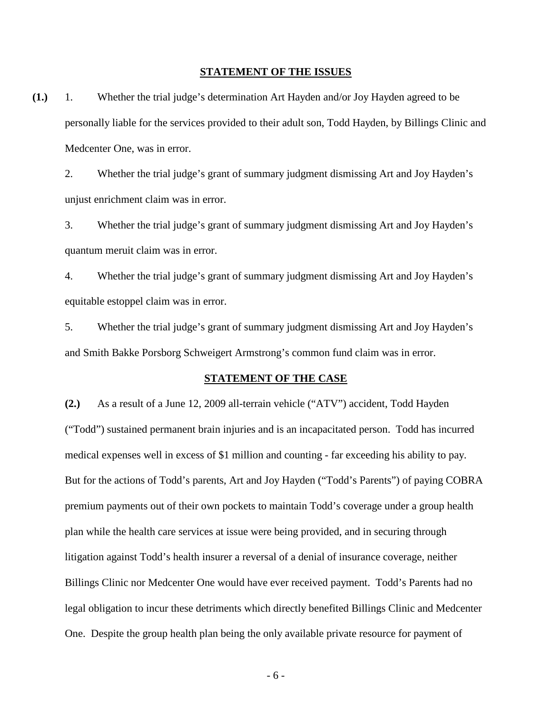#### **STATEMENT OF THE ISSUES**

**(1.)** 1. Whether the trial judge's determination Art Hayden and/or Joy Hayden agreed to be personally liable for the services provided to their adult son, Todd Hayden, by Billings Clinic and Medcenter One, was in error.

2. Whether the trial judge's grant of summary judgment dismissing Art and Joy Hayden's unjust enrichment claim was in error.

3. Whether the trial judge's grant of summary judgment dismissing Art and Joy Hayden's quantum meruit claim was in error.

4. Whether the trial judge's grant of summary judgment dismissing Art and Joy Hayden's equitable estoppel claim was in error.

5. Whether the trial judge's grant of summary judgment dismissing Art and Joy Hayden's and Smith Bakke Porsborg Schweigert Armstrong's common fund claim was in error.

#### **STATEMENT OF THE CASE**

**(2.)** As a result of a June 12, 2009 all-terrain vehicle ("ATV") accident, Todd Hayden ("Todd") sustained permanent brain injuries and is an incapacitated person. Todd has incurred medical expenses well in excess of \$1 million and counting - far exceeding his ability to pay. But for the actions of Todd's parents, Art and Joy Hayden ("Todd's Parents") of paying COBRA premium payments out of their own pockets to maintain Todd's coverage under a group health plan while the health care services at issue were being provided, and in securing through litigation against Todd's health insurer a reversal of a denial of insurance coverage, neither Billings Clinic nor Medcenter One would have ever received payment. Todd's Parents had no legal obligation to incur these detriments which directly benefited Billings Clinic and Medcenter One. Despite the group health plan being the only available private resource for payment of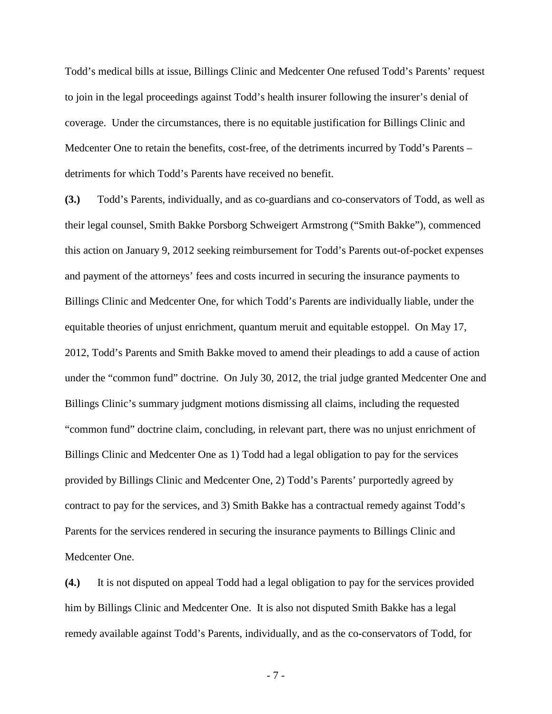Todd's medical bills at issue, Billings Clinic and Medcenter One refused Todd's Parents' request to join in the legal proceedings against Todd's health insurer following the insurer's denial of coverage. Under the circumstances, there is no equitable justification for Billings Clinic and Medcenter One to retain the benefits, cost-free, of the detriments incurred by Todd's Parents – detriments for which Todd's Parents have received no benefit.

**(3.)** Todd's Parents, individually, and as co-guardians and co-conservators of Todd, as well as their legal counsel, Smith Bakke Porsborg Schweigert Armstrong ("Smith Bakke"), commenced this action on January 9, 2012 seeking reimbursement for Todd's Parents out-of-pocket expenses and payment of the attorneys' fees and costs incurred in securing the insurance payments to Billings Clinic and Medcenter One, for which Todd's Parents are individually liable, under the equitable theories of unjust enrichment, quantum meruit and equitable estoppel. On May 17, 2012, Todd's Parents and Smith Bakke moved to amend their pleadings to add a cause of action under the "common fund" doctrine. On July 30, 2012, the trial judge granted Medcenter One and Billings Clinic's summary judgment motions dismissing all claims, including the requested "common fund" doctrine claim, concluding, in relevant part, there was no unjust enrichment of Billings Clinic and Medcenter One as 1) Todd had a legal obligation to pay for the services provided by Billings Clinic and Medcenter One, 2) Todd's Parents' purportedly agreed by contract to pay for the services, and 3) Smith Bakke has a contractual remedy against Todd's Parents for the services rendered in securing the insurance payments to Billings Clinic and Medcenter One.

**(4.)** It is not disputed on appeal Todd had a legal obligation to pay for the services provided him by Billings Clinic and Medcenter One. It is also not disputed Smith Bakke has a legal remedy available against Todd's Parents, individually, and as the co-conservators of Todd, for

- 7 -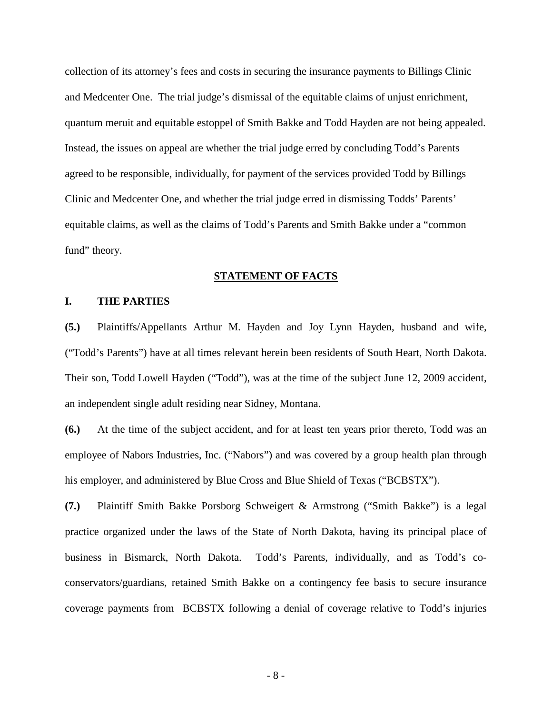collection of its attorney's fees and costs in securing the insurance payments to Billings Clinic and Medcenter One. The trial judge's dismissal of the equitable claims of unjust enrichment, quantum meruit and equitable estoppel of Smith Bakke and Todd Hayden are not being appealed. Instead, the issues on appeal are whether the trial judge erred by concluding Todd's Parents agreed to be responsible, individually, for payment of the services provided Todd by Billings Clinic and Medcenter One, and whether the trial judge erred in dismissing Todds' Parents' equitable claims, as well as the claims of Todd's Parents and Smith Bakke under a "common fund" theory.

#### **STATEMENT OF FACTS**

#### **I. THE PARTIES**

**(5.)** Plaintiffs/Appellants Arthur M. Hayden and Joy Lynn Hayden, husband and wife, ("Todd's Parents") have at all times relevant herein been residents of South Heart, North Dakota. Their son, Todd Lowell Hayden ("Todd"), was at the time of the subject June 12, 2009 accident, an independent single adult residing near Sidney, Montana.

**(6.)** At the time of the subject accident, and for at least ten years prior thereto, Todd was an employee of Nabors Industries, Inc. ("Nabors") and was covered by a group health plan through his employer, and administered by Blue Cross and Blue Shield of Texas ("BCBSTX").

**(7.)** Plaintiff Smith Bakke Porsborg Schweigert & Armstrong ("Smith Bakke") is a legal practice organized under the laws of the State of North Dakota, having its principal place of business in Bismarck, North Dakota. Todd's Parents, individually, and as Todd's coconservators/guardians, retained Smith Bakke on a contingency fee basis to secure insurance coverage payments from BCBSTX following a denial of coverage relative to Todd's injuries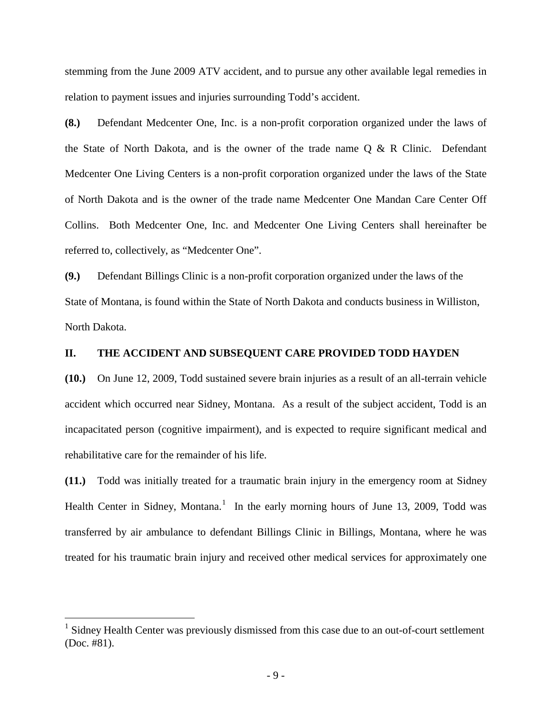stemming from the June 2009 ATV accident, and to pursue any other available legal remedies in relation to payment issues and injuries surrounding Todd's accident.

**(8.)** Defendant Medcenter One, Inc. is a non-profit corporation organized under the laws of the State of North Dakota, and is the owner of the trade name Q & R Clinic. Defendant Medcenter One Living Centers is a non-profit corporation organized under the laws of the State of North Dakota and is the owner of the trade name Medcenter One Mandan Care Center Off Collins. Both Medcenter One, Inc. and Medcenter One Living Centers shall hereinafter be referred to, collectively, as "Medcenter One".

**(9.)** Defendant Billings Clinic is a non-profit corporation organized under the laws of the State of Montana, is found within the State of North Dakota and conducts business in Williston, North Dakota.

### **II. THE ACCIDENT AND SUBSEQUENT CARE PROVIDED TODD HAYDEN**

**(10.)** On June 12, 2009, Todd sustained severe brain injuries as a result of an all-terrain vehicle accident which occurred near Sidney, Montana. As a result of the subject accident, Todd is an incapacitated person (cognitive impairment), and is expected to require significant medical and rehabilitative care for the remainder of his life.

**(11.)** Todd was initially treated for a traumatic brain injury in the emergency room at Sidney Health Center in Sidney, Montana.<sup>[1](#page-8-0)</sup> In the early morning hours of June 13, 2009, Todd was transferred by air ambulance to defendant Billings Clinic in Billings, Montana, where he was treated for his traumatic brain injury and received other medical services for approximately one

 $\overline{1}$ 

<span id="page-8-0"></span><sup>&</sup>lt;sup>1</sup> Sidney Health Center was previously dismissed from this case due to an out-of-court settlement (Doc. #81).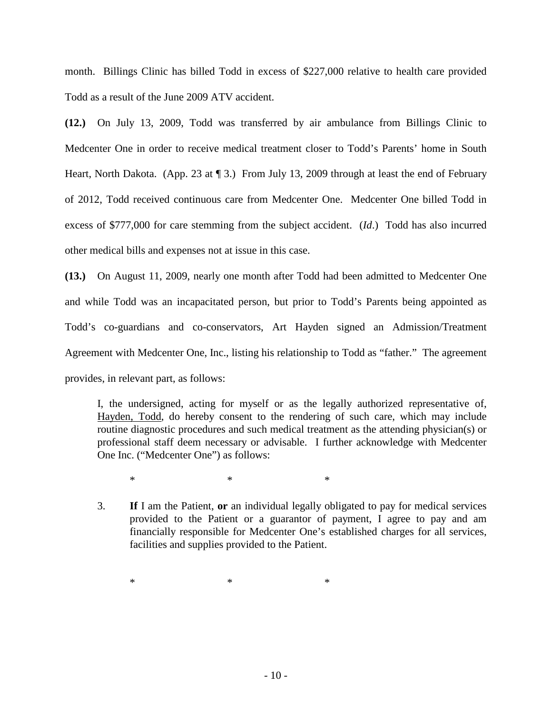month. Billings Clinic has billed Todd in excess of \$227,000 relative to health care provided Todd as a result of the June 2009 ATV accident.

**(12.)** On July 13, 2009, Todd was transferred by air ambulance from Billings Clinic to Medcenter One in order to receive medical treatment closer to Todd's Parents' home in South Heart, North Dakota. (App. 23 at  $\P$  3.) From July 13, 2009 through at least the end of February of 2012, Todd received continuous care from Medcenter One. Medcenter One billed Todd in excess of \$777,000 for care stemming from the subject accident. (*Id*.) Todd has also incurred other medical bills and expenses not at issue in this case.

**(13.)** On August 11, 2009, nearly one month after Todd had been admitted to Medcenter One and while Todd was an incapacitated person, but prior to Todd's Parents being appointed as Todd's co-guardians and co-conservators, Art Hayden signed an Admission/Treatment Agreement with Medcenter One, Inc., listing his relationship to Todd as "father." The agreement provides, in relevant part, as follows:

I, the undersigned, acting for myself or as the legally authorized representative of, Hayden, Todd, do hereby consent to the rendering of such care, which may include routine diagnostic procedures and such medical treatment as the attending physician(s) or professional staff deem necessary or advisable. I further acknowledge with Medcenter One Inc. ("Medcenter One") as follows:

 $*$   $*$   $*$ 

3. **If** I am the Patient, **or** an individual legally obligated to pay for medical services provided to the Patient or a guarantor of payment, I agree to pay and am financially responsible for Medcenter One's established charges for all services, facilities and supplies provided to the Patient.

 $*$   $*$   $*$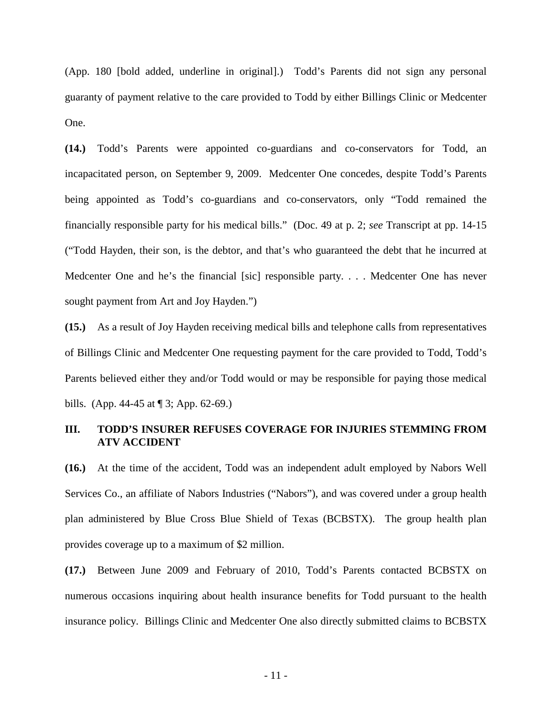(App. 180 [bold added, underline in original].) Todd's Parents did not sign any personal guaranty of payment relative to the care provided to Todd by either Billings Clinic or Medcenter One.

**(14.)** Todd's Parents were appointed co-guardians and co-conservators for Todd, an incapacitated person, on September 9, 2009. Medcenter One concedes, despite Todd's Parents being appointed as Todd's co-guardians and co-conservators, only "Todd remained the financially responsible party for his medical bills." (Doc. 49 at p. 2; *see* Transcript at pp. 14-15 ("Todd Hayden, their son, is the debtor, and that's who guaranteed the debt that he incurred at Medcenter One and he's the financial [sic] responsible party. . . . Medcenter One has never sought payment from Art and Joy Hayden.")

**(15.)** As a result of Joy Hayden receiving medical bills and telephone calls from representatives of Billings Clinic and Medcenter One requesting payment for the care provided to Todd, Todd's Parents believed either they and/or Todd would or may be responsible for paying those medical bills. (App. 44-45 at ¶ 3; App. 62-69.)

### **III. TODD'S INSURER REFUSES COVERAGE FOR INJURIES STEMMING FROM ATV ACCIDENT**

**(16.)** At the time of the accident, Todd was an independent adult employed by Nabors Well Services Co., an affiliate of Nabors Industries ("Nabors"), and was covered under a group health plan administered by Blue Cross Blue Shield of Texas (BCBSTX). The group health plan provides coverage up to a maximum of \$2 million.

**(17.)** Between June 2009 and February of 2010, Todd's Parents contacted BCBSTX on numerous occasions inquiring about health insurance benefits for Todd pursuant to the health insurance policy. Billings Clinic and Medcenter One also directly submitted claims to BCBSTX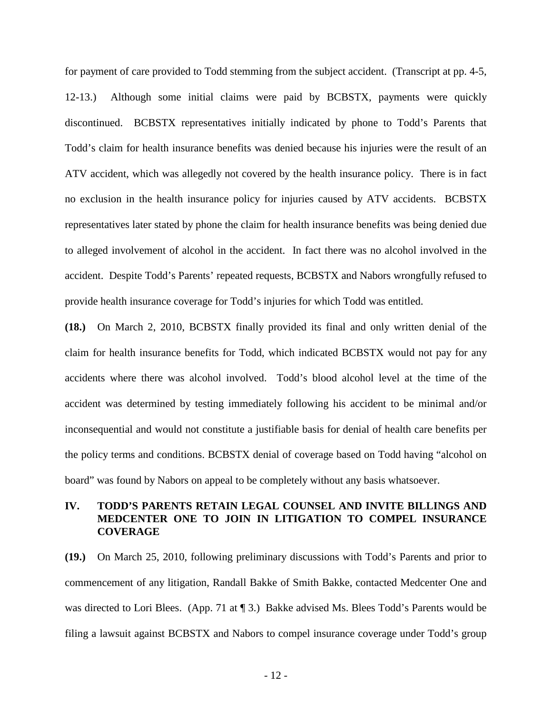for payment of care provided to Todd stemming from the subject accident. (Transcript at pp. 4-5, 12-13.) Although some initial claims were paid by BCBSTX, payments were quickly discontinued. BCBSTX representatives initially indicated by phone to Todd's Parents that Todd's claim for health insurance benefits was denied because his injuries were the result of an ATV accident, which was allegedly not covered by the health insurance policy. There is in fact no exclusion in the health insurance policy for injuries caused by ATV accidents. BCBSTX representatives later stated by phone the claim for health insurance benefits was being denied due to alleged involvement of alcohol in the accident. In fact there was no alcohol involved in the accident. Despite Todd's Parents' repeated requests, BCBSTX and Nabors wrongfully refused to provide health insurance coverage for Todd's injuries for which Todd was entitled.

**(18.)** On March 2, 2010, BCBSTX finally provided its final and only written denial of the claim for health insurance benefits for Todd, which indicated BCBSTX would not pay for any accidents where there was alcohol involved. Todd's blood alcohol level at the time of the accident was determined by testing immediately following his accident to be minimal and/or inconsequential and would not constitute a justifiable basis for denial of health care benefits per the policy terms and conditions. BCBSTX denial of coverage based on Todd having "alcohol on board" was found by Nabors on appeal to be completely without any basis whatsoever.

### **IV. TODD'S PARENTS RETAIN LEGAL COUNSEL AND INVITE BILLINGS AND MEDCENTER ONE TO JOIN IN LITIGATION TO COMPEL INSURANCE COVERAGE**

**(19.)** On March 25, 2010, following preliminary discussions with Todd's Parents and prior to commencement of any litigation, Randall Bakke of Smith Bakke, contacted Medcenter One and was directed to Lori Blees. (App. 71 at ¶ 3.) Bakke advised Ms. Blees Todd's Parents would be filing a lawsuit against BCBSTX and Nabors to compel insurance coverage under Todd's group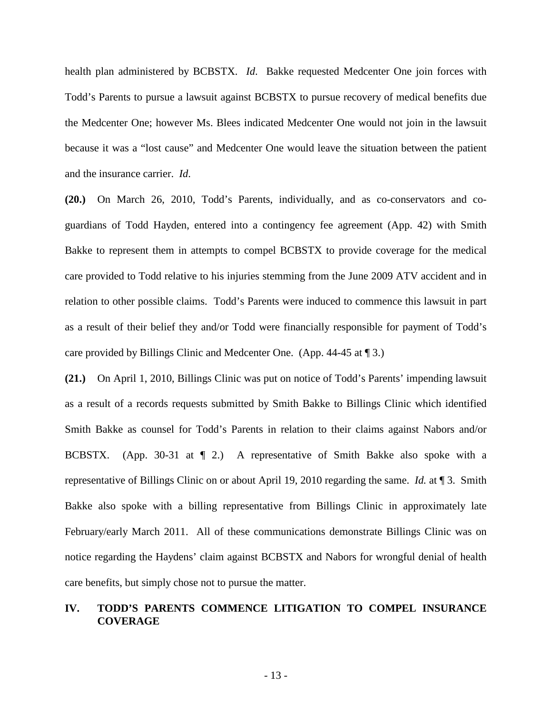health plan administered by BCBSTX. *Id*. Bakke requested Medcenter One join forces with Todd's Parents to pursue a lawsuit against BCBSTX to pursue recovery of medical benefits due the Medcenter One; however Ms. Blees indicated Medcenter One would not join in the lawsuit because it was a "lost cause" and Medcenter One would leave the situation between the patient and the insurance carrier. *Id*.

**(20.)** On March 26, 2010, Todd's Parents, individually, and as co-conservators and coguardians of Todd Hayden, entered into a contingency fee agreement (App. 42) with Smith Bakke to represent them in attempts to compel BCBSTX to provide coverage for the medical care provided to Todd relative to his injuries stemming from the June 2009 ATV accident and in relation to other possible claims. Todd's Parents were induced to commence this lawsuit in part as a result of their belief they and/or Todd were financially responsible for payment of Todd's care provided by Billings Clinic and Medcenter One. (App. 44-45 at ¶ 3.)

**(21.)** On April 1, 2010, Billings Clinic was put on notice of Todd's Parents' impending lawsuit as a result of a records requests submitted by Smith Bakke to Billings Clinic which identified Smith Bakke as counsel for Todd's Parents in relation to their claims against Nabors and/or BCBSTX. (App. 30-31 at  $\P$  2.) A representative of Smith Bakke also spoke with a representative of Billings Clinic on or about April 19, 2010 regarding the same. *Id.* at ¶ 3. Smith Bakke also spoke with a billing representative from Billings Clinic in approximately late February/early March 2011. All of these communications demonstrate Billings Clinic was on notice regarding the Haydens' claim against BCBSTX and Nabors for wrongful denial of health care benefits, but simply chose not to pursue the matter.

# **IV. TODD'S PARENTS COMMENCE LITIGATION TO COMPEL INSURANCE COVERAGE**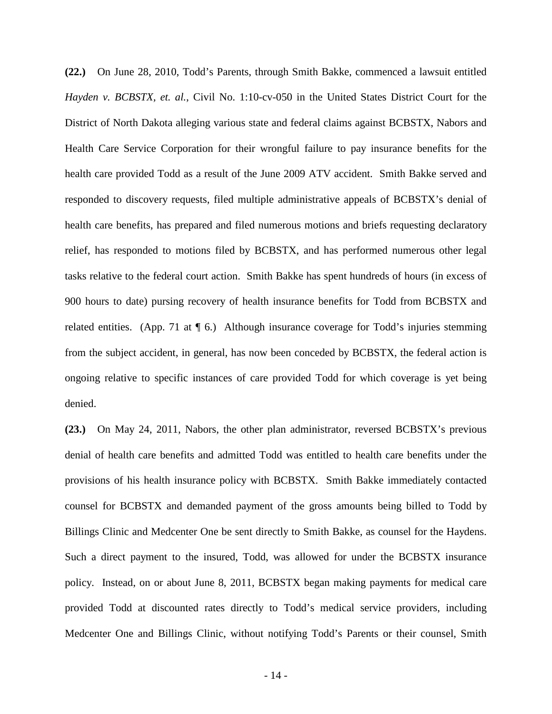**(22.)** On June 28, 2010, Todd's Parents, through Smith Bakke, commenced a lawsuit entitled *Hayden v. BCBSTX, et. al.*, Civil No. 1:10-cv-050 in the United States District Court for the District of North Dakota alleging various state and federal claims against BCBSTX, Nabors and Health Care Service Corporation for their wrongful failure to pay insurance benefits for the health care provided Todd as a result of the June 2009 ATV accident. Smith Bakke served and responded to discovery requests, filed multiple administrative appeals of BCBSTX's denial of health care benefits, has prepared and filed numerous motions and briefs requesting declaratory relief, has responded to motions filed by BCBSTX, and has performed numerous other legal tasks relative to the federal court action. Smith Bakke has spent hundreds of hours (in excess of 900 hours to date) pursing recovery of health insurance benefits for Todd from BCBSTX and related entities. (App. 71 at  $\P$  6.) Although insurance coverage for Todd's injuries stemming from the subject accident, in general, has now been conceded by BCBSTX, the federal action is ongoing relative to specific instances of care provided Todd for which coverage is yet being denied.

**(23.)** On May 24, 2011, Nabors, the other plan administrator, reversed BCBSTX's previous denial of health care benefits and admitted Todd was entitled to health care benefits under the provisions of his health insurance policy with BCBSTX. Smith Bakke immediately contacted counsel for BCBSTX and demanded payment of the gross amounts being billed to Todd by Billings Clinic and Medcenter One be sent directly to Smith Bakke, as counsel for the Haydens. Such a direct payment to the insured, Todd, was allowed for under the BCBSTX insurance policy. Instead, on or about June 8, 2011, BCBSTX began making payments for medical care provided Todd at discounted rates directly to Todd's medical service providers, including Medcenter One and Billings Clinic, without notifying Todd's Parents or their counsel, Smith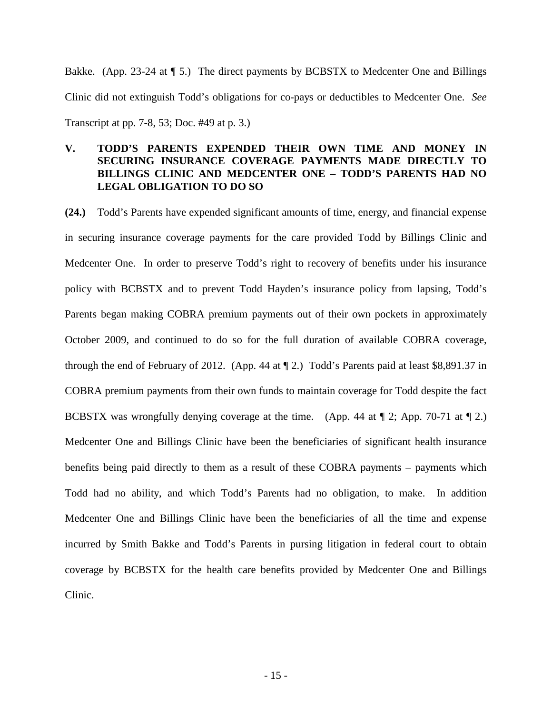Bakke. (App. 23-24 at  $\P$  5.) The direct payments by BCBSTX to Medcenter One and Billings Clinic did not extinguish Todd's obligations for co-pays or deductibles to Medcenter One. *See* Transcript at pp. 7-8, 53; Doc. #49 at p. 3.)

# **V. TODD'S PARENTS EXPENDED THEIR OWN TIME AND MONEY IN SECURING INSURANCE COVERAGE PAYMENTS MADE DIRECTLY TO BILLINGS CLINIC AND MEDCENTER ONE – TODD'S PARENTS HAD NO LEGAL OBLIGATION TO DO SO**

**(24.)** Todd's Parents have expended significant amounts of time, energy, and financial expense in securing insurance coverage payments for the care provided Todd by Billings Clinic and Medcenter One. In order to preserve Todd's right to recovery of benefits under his insurance policy with BCBSTX and to prevent Todd Hayden's insurance policy from lapsing, Todd's Parents began making COBRA premium payments out of their own pockets in approximately October 2009, and continued to do so for the full duration of available COBRA coverage, through the end of February of 2012. (App. 44 at ¶ 2.) Todd's Parents paid at least \$8,891.37 in COBRA premium payments from their own funds to maintain coverage for Todd despite the fact BCBSTX was wrongfully denying coverage at the time. (App. 44 at  $\mathbb{I}$  2; App. 70-71 at  $\mathbb{I}$  2.) Medcenter One and Billings Clinic have been the beneficiaries of significant health insurance benefits being paid directly to them as a result of these COBRA payments – payments which Todd had no ability, and which Todd's Parents had no obligation, to make. In addition Medcenter One and Billings Clinic have been the beneficiaries of all the time and expense incurred by Smith Bakke and Todd's Parents in pursing litigation in federal court to obtain coverage by BCBSTX for the health care benefits provided by Medcenter One and Billings Clinic.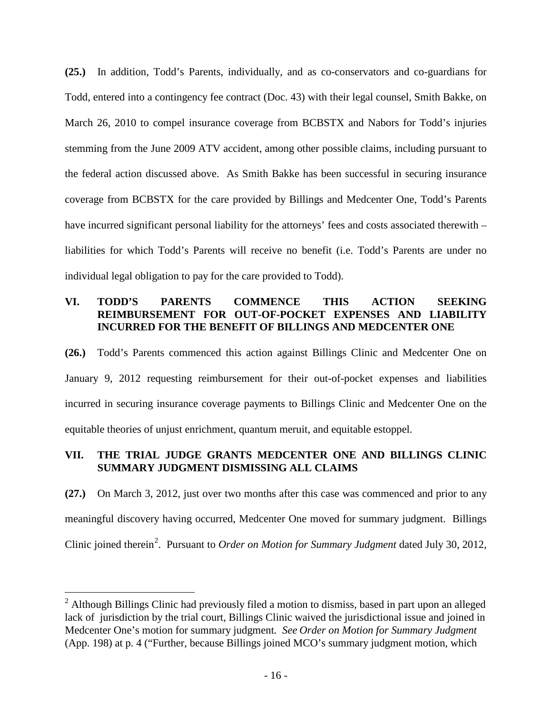**(25.)** In addition, Todd's Parents, individually, and as co-conservators and co-guardians for Todd, entered into a contingency fee contract (Doc. 43) with their legal counsel, Smith Bakke, on March 26, 2010 to compel insurance coverage from BCBSTX and Nabors for Todd's injuries stemming from the June 2009 ATV accident, among other possible claims, including pursuant to the federal action discussed above. As Smith Bakke has been successful in securing insurance coverage from BCBSTX for the care provided by Billings and Medcenter One, Todd's Parents have incurred significant personal liability for the attorneys' fees and costs associated therewith – liabilities for which Todd's Parents will receive no benefit (i.e. Todd's Parents are under no individual legal obligation to pay for the care provided to Todd).

# **VI. TODD'S PARENTS COMMENCE THIS ACTION SEEKING REIMBURSEMENT FOR OUT-OF-POCKET EXPENSES AND LIABILITY INCURRED FOR THE BENEFIT OF BILLINGS AND MEDCENTER ONE**

**(26.)** Todd's Parents commenced this action against Billings Clinic and Medcenter One on January 9, 2012 requesting reimbursement for their out-of-pocket expenses and liabilities incurred in securing insurance coverage payments to Billings Clinic and Medcenter One on the equitable theories of unjust enrichment, quantum meruit, and equitable estoppel.

# **VII. THE TRIAL JUDGE GRANTS MEDCENTER ONE AND BILLINGS CLINIC SUMMARY JUDGMENT DISMISSING ALL CLAIMS**

**(27.)** On March 3, 2012, just over two months after this case was commenced and prior to any meaningful discovery having occurred, Medcenter One moved for summary judgment. Billings Clinic joined therein<sup>[2](#page-15-0)</sup>. Pursuant to *Order on Motion for Summary Judgment* dated July 30, 2012,

<span id="page-15-0"></span> $\overline{a}$  $2$  Although Billings Clinic had previously filed a motion to dismiss, based in part upon an alleged lack of jurisdiction by the trial court, Billings Clinic waived the jurisdictional issue and joined in Medcenter One's motion for summary judgment*. See Order on Motion for Summary Judgment* (App. 198) at p. 4 ("Further, because Billings joined MCO's summary judgment motion, which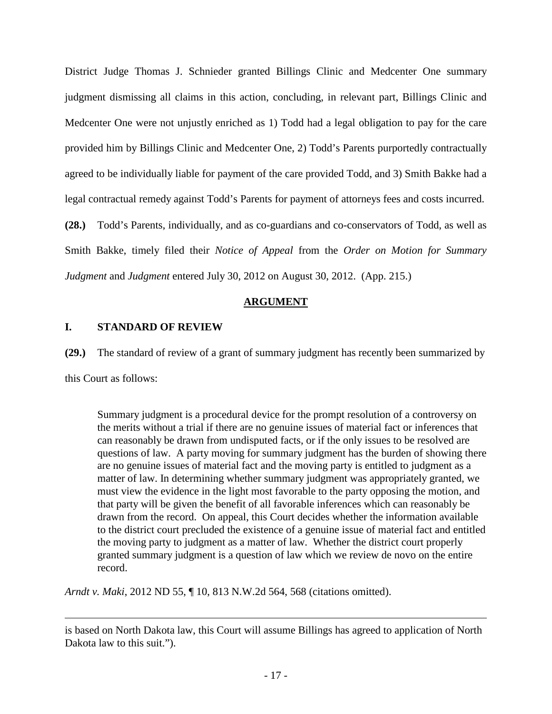District Judge Thomas J. Schnieder granted Billings Clinic and Medcenter One summary judgment dismissing all claims in this action, concluding, in relevant part, Billings Clinic and Medcenter One were not unjustly enriched as 1) Todd had a legal obligation to pay for the care provided him by Billings Clinic and Medcenter One, 2) Todd's Parents purportedly contractually agreed to be individually liable for payment of the care provided Todd, and 3) Smith Bakke had a legal contractual remedy against Todd's Parents for payment of attorneys fees and costs incurred. **(28.)** Todd's Parents, individually, and as co-guardians and co-conservators of Todd, as well as Smith Bakke, timely filed their *Notice of Appeal* from the *Order on Motion for Summary* 

*Judgment* and *Judgment* entered July 30, 2012 on August 30, 2012. (App. 215.)

### **ARGUMENT**

### **I. STANDARD OF REVIEW**

**(29.)** The standard of review of a grant of summary judgment has recently been summarized by

this Court as follows:

Summary judgment is a procedural device for the prompt resolution of a controversy on the merits without a trial if there are no genuine issues of material fact or inferences that can reasonably be drawn from undisputed facts, or if the only issues to be resolved are questions of law. A party moving for summary judgment has the burden of showing there are no genuine issues of material fact and the moving party is entitled to judgment as a matter of law. In determining whether summary judgment was appropriately granted, we must view the evidence in the light most favorable to the party opposing the motion, and that party will be given the benefit of all favorable inferences which can reasonably be drawn from the record. On appeal, this Court decides whether the information available to the district court precluded the existence of a genuine issue of material fact and entitled the moving party to judgment as a matter of law. Whether the district court properly granted summary judgment is a question of law which we review de novo on the entire record.

*Arndt v. Maki*, 2012 ND 55, ¶ 10, 813 N.W.2d 564, 568 (citations omitted).

Ĩ. is based on North Dakota law, this Court will assume Billings has agreed to application of North Dakota law to this suit.").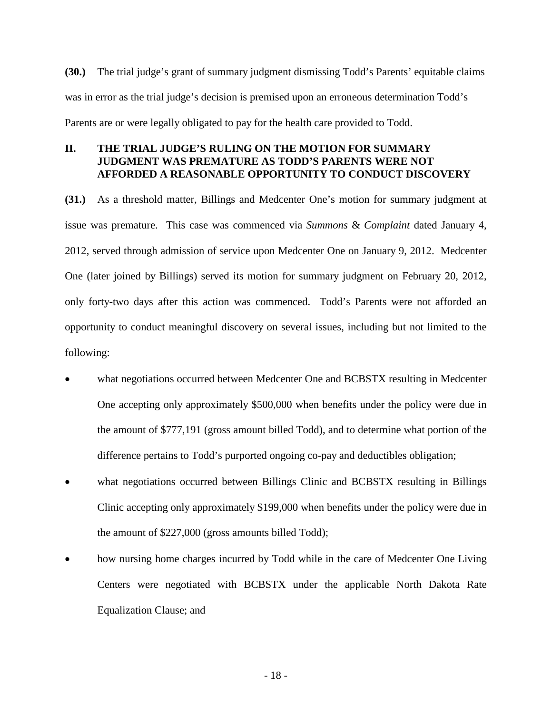**(30.)** The trial judge's grant of summary judgment dismissing Todd's Parents' equitable claims was in error as the trial judge's decision is premised upon an erroneous determination Todd's Parents are or were legally obligated to pay for the health care provided to Todd.

# **II. THE TRIAL JUDGE'S RULING ON THE MOTION FOR SUMMARY JUDGMENT WAS PREMATURE AS TODD'S PARENTS WERE NOT AFFORDED A REASONABLE OPPORTUNITY TO CONDUCT DISCOVERY**

**(31.)** As a threshold matter, Billings and Medcenter One's motion for summary judgment at issue was premature. This case was commenced via *Summons* & *Complaint* dated January 4, 2012, served through admission of service upon Medcenter One on January 9, 2012. Medcenter One (later joined by Billings) served its motion for summary judgment on February 20, 2012, only forty-two days after this action was commenced. Todd's Parents were not afforded an opportunity to conduct meaningful discovery on several issues, including but not limited to the following:

- what negotiations occurred between Medcenter One and BCBSTX resulting in Medcenter One accepting only approximately \$500,000 when benefits under the policy were due in the amount of \$777,191 (gross amount billed Todd), and to determine what portion of the difference pertains to Todd's purported ongoing co-pay and deductibles obligation;
- what negotiations occurred between Billings Clinic and BCBSTX resulting in Billings Clinic accepting only approximately \$199,000 when benefits under the policy were due in the amount of \$227,000 (gross amounts billed Todd);
- how nursing home charges incurred by Todd while in the care of Medcenter One Living Centers were negotiated with BCBSTX under the applicable North Dakota Rate Equalization Clause; and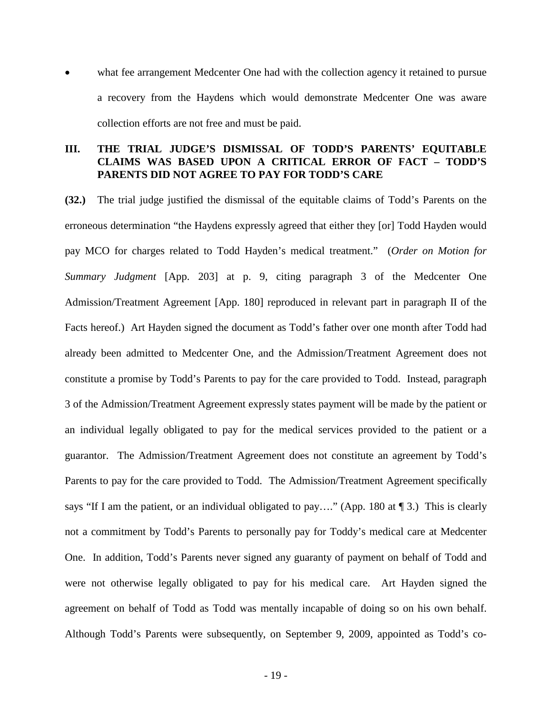what fee arrangement Medcenter One had with the collection agency it retained to pursue a recovery from the Haydens which would demonstrate Medcenter One was aware collection efforts are not free and must be paid.

### **III. THE TRIAL JUDGE'S DISMISSAL OF TODD'S PARENTS' EQUITABLE CLAIMS WAS BASED UPON A CRITICAL ERROR OF FACT – TODD'S PARENTS DID NOT AGREE TO PAY FOR TODD'S CARE**

**(32.)** The trial judge justified the dismissal of the equitable claims of Todd's Parents on the erroneous determination "the Haydens expressly agreed that either they [or] Todd Hayden would pay MCO for charges related to Todd Hayden's medical treatment." (*Order on Motion for Summary Judgment* [App. 203] at p. 9, citing paragraph 3 of the Medcenter One Admission/Treatment Agreement [App. 180] reproduced in relevant part in paragraph II of the Facts hereof.) Art Hayden signed the document as Todd's father over one month after Todd had already been admitted to Medcenter One, and the Admission/Treatment Agreement does not constitute a promise by Todd's Parents to pay for the care provided to Todd. Instead, paragraph 3 of the Admission/Treatment Agreement expressly states payment will be made by the patient or an individual legally obligated to pay for the medical services provided to the patient or a guarantor. The Admission/Treatment Agreement does not constitute an agreement by Todd's Parents to pay for the care provided to Todd. The Admission/Treatment Agreement specifically says "If I am the patient, or an individual obligated to pay...." (App. 180 at  $\P$  3.) This is clearly not a commitment by Todd's Parents to personally pay for Toddy's medical care at Medcenter One. In addition, Todd's Parents never signed any guaranty of payment on behalf of Todd and were not otherwise legally obligated to pay for his medical care. Art Hayden signed the agreement on behalf of Todd as Todd was mentally incapable of doing so on his own behalf. Although Todd's Parents were subsequently, on September 9, 2009, appointed as Todd's co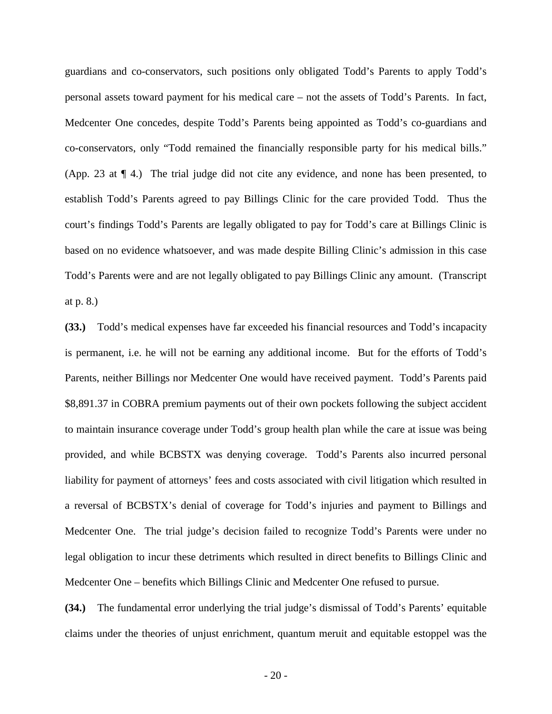guardians and co-conservators, such positions only obligated Todd's Parents to apply Todd's personal assets toward payment for his medical care – not the assets of Todd's Parents. In fact, Medcenter One concedes, despite Todd's Parents being appointed as Todd's co-guardians and co-conservators, only "Todd remained the financially responsible party for his medical bills." (App. 23 at ¶ 4.) The trial judge did not cite any evidence, and none has been presented, to establish Todd's Parents agreed to pay Billings Clinic for the care provided Todd. Thus the court's findings Todd's Parents are legally obligated to pay for Todd's care at Billings Clinic is based on no evidence whatsoever, and was made despite Billing Clinic's admission in this case Todd's Parents were and are not legally obligated to pay Billings Clinic any amount. (Transcript at p. 8.)

**(33.)** Todd's medical expenses have far exceeded his financial resources and Todd's incapacity is permanent, i.e. he will not be earning any additional income. But for the efforts of Todd's Parents, neither Billings nor Medcenter One would have received payment. Todd's Parents paid \$8,891.37 in COBRA premium payments out of their own pockets following the subject accident to maintain insurance coverage under Todd's group health plan while the care at issue was being provided, and while BCBSTX was denying coverage. Todd's Parents also incurred personal liability for payment of attorneys' fees and costs associated with civil litigation which resulted in a reversal of BCBSTX's denial of coverage for Todd's injuries and payment to Billings and Medcenter One. The trial judge's decision failed to recognize Todd's Parents were under no legal obligation to incur these detriments which resulted in direct benefits to Billings Clinic and Medcenter One – benefits which Billings Clinic and Medcenter One refused to pursue.

**(34.)** The fundamental error underlying the trial judge's dismissal of Todd's Parents' equitable claims under the theories of unjust enrichment, quantum meruit and equitable estoppel was the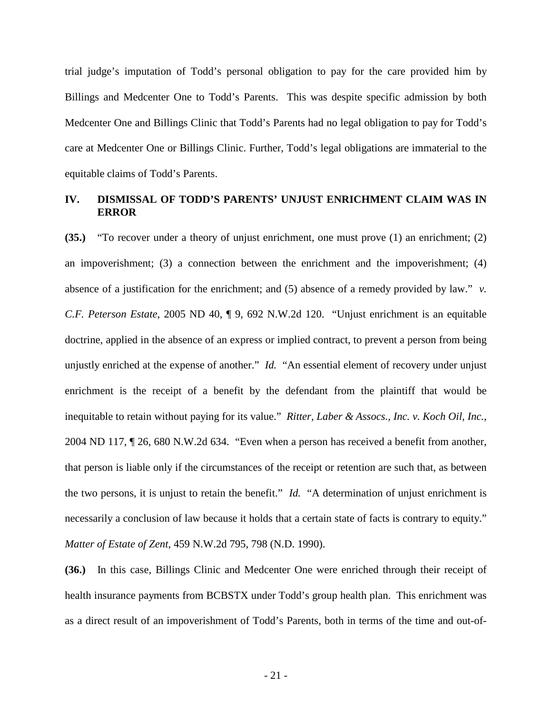trial judge's imputation of Todd's personal obligation to pay for the care provided him by Billings and Medcenter One to Todd's Parents. This was despite specific admission by both Medcenter One and Billings Clinic that Todd's Parents had no legal obligation to pay for Todd's care at Medcenter One or Billings Clinic. Further, Todd's legal obligations are immaterial to the equitable claims of Todd's Parents.

# **IV. DISMISSAL OF TODD'S PARENTS' UNJUST ENRICHMENT CLAIM WAS IN ERROR**

**(35.)** "To recover under a theory of unjust enrichment, one must prove (1) an enrichment; (2) an impoverishment; (3) a connection between the enrichment and the impoverishment; (4) absence of a justification for the enrichment; and (5) absence of a remedy provided by law." *v. C.F. Peterson Estate*, 2005 ND 40, ¶ 9, 692 N.W.2d 120. "Unjust enrichment is an equitable doctrine, applied in the absence of an express or implied contract, to prevent a person from being unjustly enriched at the expense of another." *Id.* "An essential element of recovery under unjust enrichment is the receipt of a benefit by the defendant from the plaintiff that would be inequitable to retain without paying for its value." *Ritter, Laber & Assocs., Inc. v. Koch Oil, Inc.*, 2004 ND 117, ¶ 26, 680 N.W.2d 634. "Even when a person has received a benefit from another, that person is liable only if the circumstances of the receipt or retention are such that, as between the two persons, it is unjust to retain the benefit." *Id.* "A determination of unjust enrichment is necessarily a conclusion of law because it holds that a certain state of facts is contrary to equity." *Matter of Estate of Zent*, 459 N.W.2d 795, 798 (N.D. 1990).

**(36.)** In this case, Billings Clinic and Medcenter One were enriched through their receipt of health insurance payments from BCBSTX under Todd's group health plan. This enrichment was as a direct result of an impoverishment of Todd's Parents, both in terms of the time and out-of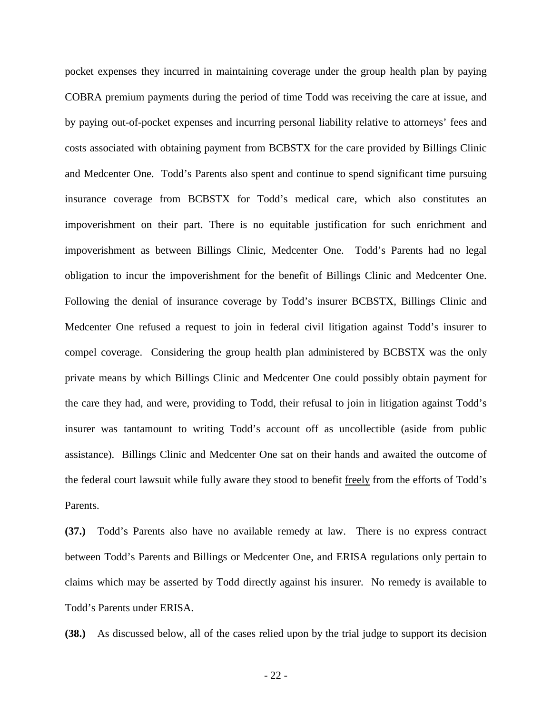pocket expenses they incurred in maintaining coverage under the group health plan by paying COBRA premium payments during the period of time Todd was receiving the care at issue, and by paying out-of-pocket expenses and incurring personal liability relative to attorneys' fees and costs associated with obtaining payment from BCBSTX for the care provided by Billings Clinic and Medcenter One. Todd's Parents also spent and continue to spend significant time pursuing insurance coverage from BCBSTX for Todd's medical care, which also constitutes an impoverishment on their part. There is no equitable justification for such enrichment and impoverishment as between Billings Clinic, Medcenter One. Todd's Parents had no legal obligation to incur the impoverishment for the benefit of Billings Clinic and Medcenter One. Following the denial of insurance coverage by Todd's insurer BCBSTX, Billings Clinic and Medcenter One refused a request to join in federal civil litigation against Todd's insurer to compel coverage. Considering the group health plan administered by BCBSTX was the only private means by which Billings Clinic and Medcenter One could possibly obtain payment for the care they had, and were, providing to Todd, their refusal to join in litigation against Todd's insurer was tantamount to writing Todd's account off as uncollectible (aside from public assistance). Billings Clinic and Medcenter One sat on their hands and awaited the outcome of the federal court lawsuit while fully aware they stood to benefit freely from the efforts of Todd's Parents.

**(37.)** Todd's Parents also have no available remedy at law. There is no express contract between Todd's Parents and Billings or Medcenter One, and ERISA regulations only pertain to claims which may be asserted by Todd directly against his insurer. No remedy is available to Todd's Parents under ERISA.

**(38.)** As discussed below, all of the cases relied upon by the trial judge to support its decision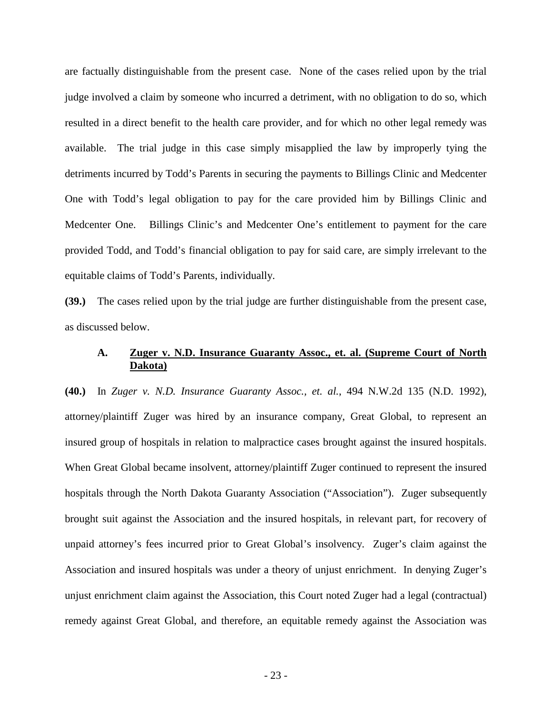are factually distinguishable from the present case. None of the cases relied upon by the trial judge involved a claim by someone who incurred a detriment, with no obligation to do so, which resulted in a direct benefit to the health care provider, and for which no other legal remedy was available. The trial judge in this case simply misapplied the law by improperly tying the detriments incurred by Todd's Parents in securing the payments to Billings Clinic and Medcenter One with Todd's legal obligation to pay for the care provided him by Billings Clinic and Medcenter One. Billings Clinic's and Medcenter One's entitlement to payment for the care provided Todd, and Todd's financial obligation to pay for said care, are simply irrelevant to the equitable claims of Todd's Parents, individually.

**(39.)** The cases relied upon by the trial judge are further distinguishable from the present case, as discussed below.

## **A. Zuger v. N.D. Insurance Guaranty Assoc., et. al. (Supreme Court of North Dakota)**

**(40.)** In *Zuger v. N.D. Insurance Guaranty Assoc., et. al.*, 494 N.W.2d 135 (N.D. 1992), attorney/plaintiff Zuger was hired by an insurance company, Great Global, to represent an insured group of hospitals in relation to malpractice cases brought against the insured hospitals. When Great Global became insolvent, attorney/plaintiff Zuger continued to represent the insured hospitals through the North Dakota Guaranty Association ("Association"). Zuger subsequently brought suit against the Association and the insured hospitals, in relevant part, for recovery of unpaid attorney's fees incurred prior to Great Global's insolvency. Zuger's claim against the Association and insured hospitals was under a theory of unjust enrichment. In denying Zuger's unjust enrichment claim against the Association, this Court noted Zuger had a legal (contractual) remedy against Great Global, and therefore, an equitable remedy against the Association was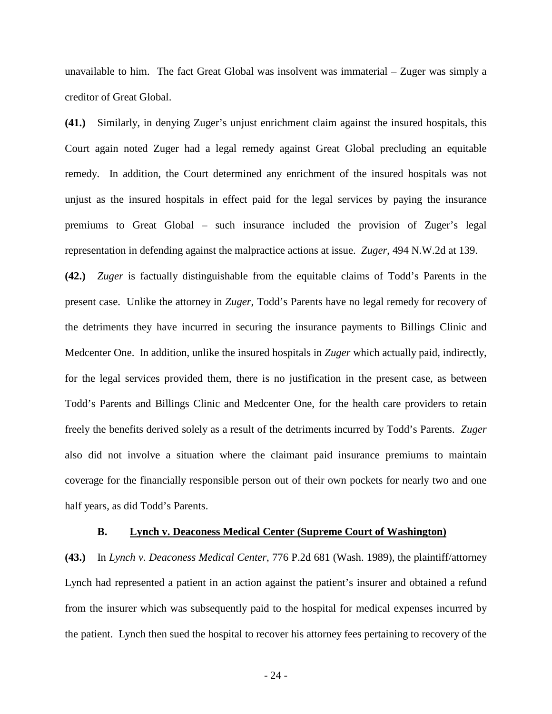unavailable to him. The fact Great Global was insolvent was immaterial – Zuger was simply a creditor of Great Global.

**(41.)** Similarly, in denying Zuger's unjust enrichment claim against the insured hospitals, this Court again noted Zuger had a legal remedy against Great Global precluding an equitable remedy. In addition, the Court determined any enrichment of the insured hospitals was not unjust as the insured hospitals in effect paid for the legal services by paying the insurance premiums to Great Global – such insurance included the provision of Zuger's legal representation in defending against the malpractice actions at issue. *Zuger*, 494 N.W.2d at 139.

**(42.)** *Zuger* is factually distinguishable from the equitable claims of Todd's Parents in the present case. Unlike the attorney in *Zuger*, Todd's Parents have no legal remedy for recovery of the detriments they have incurred in securing the insurance payments to Billings Clinic and Medcenter One. In addition, unlike the insured hospitals in *Zuger* which actually paid, indirectly, for the legal services provided them, there is no justification in the present case, as between Todd's Parents and Billings Clinic and Medcenter One, for the health care providers to retain freely the benefits derived solely as a result of the detriments incurred by Todd's Parents. *Zuger* also did not involve a situation where the claimant paid insurance premiums to maintain coverage for the financially responsible person out of their own pockets for nearly two and one half years, as did Todd's Parents.

#### **B. Lynch v. Deaconess Medical Center (Supreme Court of Washington)**

**(43.)** In *Lynch v. Deaconess Medical Center*, 776 P.2d 681 (Wash. 1989), the plaintiff/attorney Lynch had represented a patient in an action against the patient's insurer and obtained a refund from the insurer which was subsequently paid to the hospital for medical expenses incurred by the patient. Lynch then sued the hospital to recover his attorney fees pertaining to recovery of the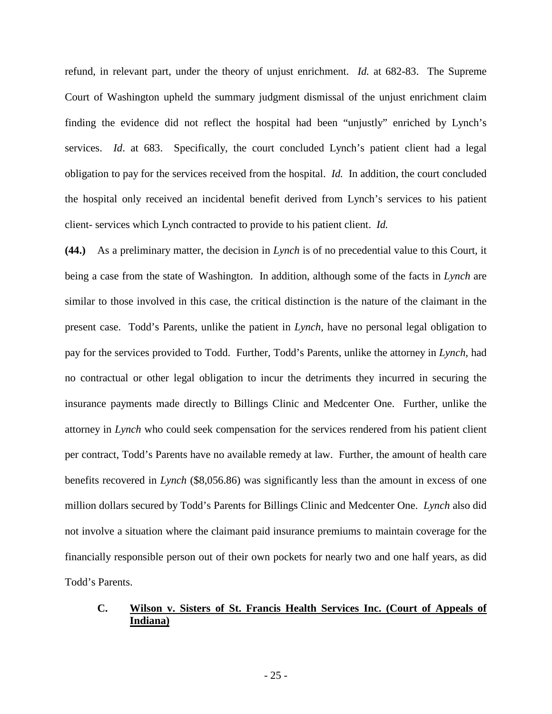refund, in relevant part, under the theory of unjust enrichment. *Id.* at 682-83. The Supreme Court of Washington upheld the summary judgment dismissal of the unjust enrichment claim finding the evidence did not reflect the hospital had been "unjustly" enriched by Lynch's services. *Id.* at 683. Specifically, the court concluded Lynch's patient client had a legal obligation to pay for the services received from the hospital. *Id.* In addition, the court concluded the hospital only received an incidental benefit derived from Lynch's services to his patient client- services which Lynch contracted to provide to his patient client. *Id.*

**(44.)** As a preliminary matter, the decision in *Lynch* is of no precedential value to this Court, it being a case from the state of Washington. In addition, although some of the facts in *Lynch* are similar to those involved in this case, the critical distinction is the nature of the claimant in the present case. Todd's Parents, unlike the patient in *Lynch*, have no personal legal obligation to pay for the services provided to Todd. Further, Todd's Parents, unlike the attorney in *Lynch*, had no contractual or other legal obligation to incur the detriments they incurred in securing the insurance payments made directly to Billings Clinic and Medcenter One. Further, unlike the attorney in *Lynch* who could seek compensation for the services rendered from his patient client per contract, Todd's Parents have no available remedy at law. Further, the amount of health care benefits recovered in *Lynch* (\$8,056.86) was significantly less than the amount in excess of one million dollars secured by Todd's Parents for Billings Clinic and Medcenter One. *Lynch* also did not involve a situation where the claimant paid insurance premiums to maintain coverage for the financially responsible person out of their own pockets for nearly two and one half years, as did Todd's Parents.

## **C. Wilson v. Sisters of St. Francis Health Services Inc. (Court of Appeals of Indiana)**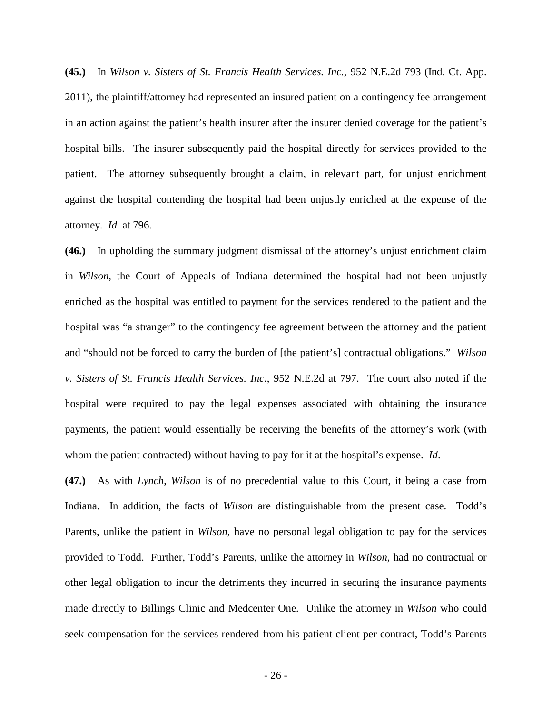**(45.)** In *Wilson v. Sisters of St. Francis Health Services. Inc.*, 952 N.E.2d 793 (Ind. Ct. App. 2011), the plaintiff/attorney had represented an insured patient on a contingency fee arrangement in an action against the patient's health insurer after the insurer denied coverage for the patient's hospital bills. The insurer subsequently paid the hospital directly for services provided to the patient. The attorney subsequently brought a claim, in relevant part, for unjust enrichment against the hospital contending the hospital had been unjustly enriched at the expense of the attorney. *Id.* at 796.

**(46.)** In upholding the summary judgment dismissal of the attorney's unjust enrichment claim in *Wilson*, the Court of Appeals of Indiana determined the hospital had not been unjustly enriched as the hospital was entitled to payment for the services rendered to the patient and the hospital was "a stranger" to the contingency fee agreement between the attorney and the patient and "should not be forced to carry the burden of [the patient's] contractual obligations." *Wilson v. Sisters of St. Francis Health Services. Inc.*, 952 N.E.2d at 797. The court also noted if the hospital were required to pay the legal expenses associated with obtaining the insurance payments, the patient would essentially be receiving the benefits of the attorney's work (with whom the patient contracted) without having to pay for it at the hospital's expense. *Id*.

**(47.)** As with *Lynch*, *Wilson* is of no precedential value to this Court, it being a case from Indiana. In addition, the facts of *Wilson* are distinguishable from the present case. Todd's Parents, unlike the patient in *Wilson*, have no personal legal obligation to pay for the services provided to Todd. Further, Todd's Parents, unlike the attorney in *Wilson*, had no contractual or other legal obligation to incur the detriments they incurred in securing the insurance payments made directly to Billings Clinic and Medcenter One. Unlike the attorney in *Wilson* who could seek compensation for the services rendered from his patient client per contract, Todd's Parents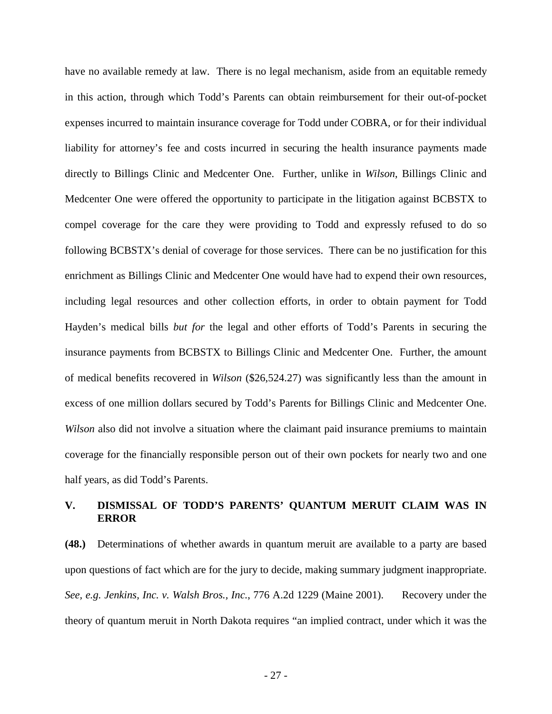have no available remedy at law. There is no legal mechanism, aside from an equitable remedy in this action, through which Todd's Parents can obtain reimbursement for their out-of-pocket expenses incurred to maintain insurance coverage for Todd under COBRA, or for their individual liability for attorney's fee and costs incurred in securing the health insurance payments made directly to Billings Clinic and Medcenter One. Further, unlike in *Wilson*, Billings Clinic and Medcenter One were offered the opportunity to participate in the litigation against BCBSTX to compel coverage for the care they were providing to Todd and expressly refused to do so following BCBSTX's denial of coverage for those services. There can be no justification for this enrichment as Billings Clinic and Medcenter One would have had to expend their own resources, including legal resources and other collection efforts, in order to obtain payment for Todd Hayden's medical bills *but for* the legal and other efforts of Todd's Parents in securing the insurance payments from BCBSTX to Billings Clinic and Medcenter One. Further, the amount of medical benefits recovered in *Wilson* (\$26,524.27) was significantly less than the amount in excess of one million dollars secured by Todd's Parents for Billings Clinic and Medcenter One. *Wilson* also did not involve a situation where the claimant paid insurance premiums to maintain coverage for the financially responsible person out of their own pockets for nearly two and one half years, as did Todd's Parents.

# **V. DISMISSAL OF TODD'S PARENTS' QUANTUM MERUIT CLAIM WAS IN ERROR**

**(48.)** Determinations of whether awards in quantum meruit are available to a party are based upon questions of fact which are for the jury to decide, making summary judgment inappropriate. *See, e.g. Jenkins, Inc. v. Walsh Bros., Inc.*, 776 A.2d 1229 (Maine 2001). Recovery under the theory of quantum meruit in North Dakota requires "an implied contract, under which it was the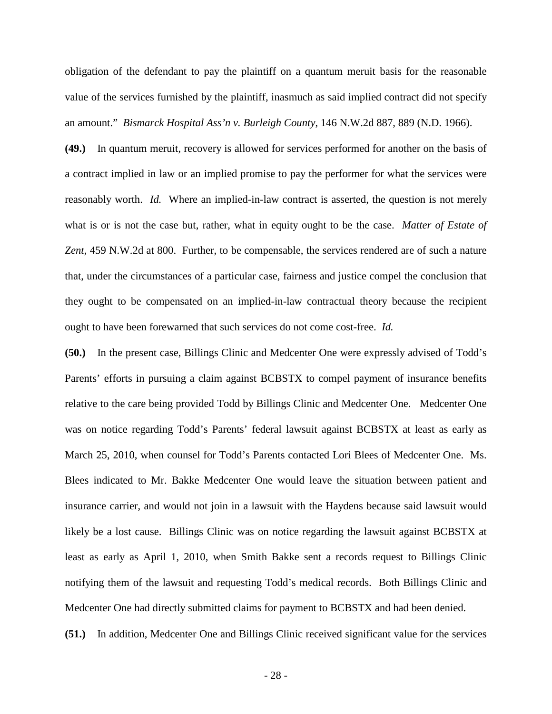obligation of the defendant to pay the plaintiff on a quantum meruit basis for the reasonable value of the services furnished by the plaintiff, inasmuch as said implied contract did not specify an amount." *Bismarck Hospital Ass'n v. Burleigh County*, 146 N.W.2d 887, 889 (N.D. 1966).

**(49.)** In quantum meruit, recovery is allowed for services performed for another on the basis of a contract implied in law or an implied promise to pay the performer for what the services were reasonably worth. *Id.* Where an implied-in-law contract is asserted, the question is not merely what is or is not the case but, rather, what in equity ought to be the case. *Matter of Estate of Zent*, 459 N.W.2d at 800. Further, to be compensable, the services rendered are of such a nature that, under the circumstances of a particular case, fairness and justice compel the conclusion that they ought to be compensated on an implied-in-law contractual theory because the recipient ought to have been forewarned that such services do not come cost-free. *Id.*

**(50.)** In the present case, Billings Clinic and Medcenter One were expressly advised of Todd's Parents' efforts in pursuing a claim against BCBSTX to compel payment of insurance benefits relative to the care being provided Todd by Billings Clinic and Medcenter One. Medcenter One was on notice regarding Todd's Parents' federal lawsuit against BCBSTX at least as early as March 25, 2010, when counsel for Todd's Parents contacted Lori Blees of Medcenter One. Ms. Blees indicated to Mr. Bakke Medcenter One would leave the situation between patient and insurance carrier, and would not join in a lawsuit with the Haydens because said lawsuit would likely be a lost cause. Billings Clinic was on notice regarding the lawsuit against BCBSTX at least as early as April 1, 2010, when Smith Bakke sent a records request to Billings Clinic notifying them of the lawsuit and requesting Todd's medical records. Both Billings Clinic and Medcenter One had directly submitted claims for payment to BCBSTX and had been denied.

**(51.)** In addition, Medcenter One and Billings Clinic received significant value for the services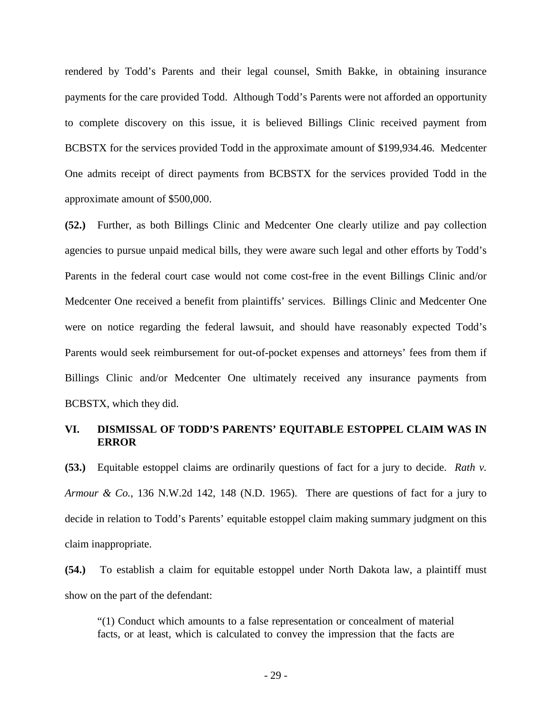rendered by Todd's Parents and their legal counsel, Smith Bakke, in obtaining insurance payments for the care provided Todd. Although Todd's Parents were not afforded an opportunity to complete discovery on this issue, it is believed Billings Clinic received payment from BCBSTX for the services provided Todd in the approximate amount of \$199,934.46. Medcenter One admits receipt of direct payments from BCBSTX for the services provided Todd in the approximate amount of \$500,000.

**(52.)** Further, as both Billings Clinic and Medcenter One clearly utilize and pay collection agencies to pursue unpaid medical bills, they were aware such legal and other efforts by Todd's Parents in the federal court case would not come cost-free in the event Billings Clinic and/or Medcenter One received a benefit from plaintiffs' services. Billings Clinic and Medcenter One were on notice regarding the federal lawsuit, and should have reasonably expected Todd's Parents would seek reimbursement for out-of-pocket expenses and attorneys' fees from them if Billings Clinic and/or Medcenter One ultimately received any insurance payments from BCBSTX, which they did.

### **VI. DISMISSAL OF TODD'S PARENTS' EQUITABLE ESTOPPEL CLAIM WAS IN ERROR**

**(53.)** Equitable estoppel claims are ordinarily questions of fact for a jury to decide. *Rath v. Armour & Co.*, 136 N.W.2d 142, 148 (N.D. 1965). There are questions of fact for a jury to decide in relation to Todd's Parents' equitable estoppel claim making summary judgment on this claim inappropriate.

**(54.)** To establish a claim for equitable estoppel under North Dakota law, a plaintiff must show on the part of the defendant:

"(1) Conduct which amounts to a false representation or concealment of material facts, or at least, which is calculated to convey the impression that the facts are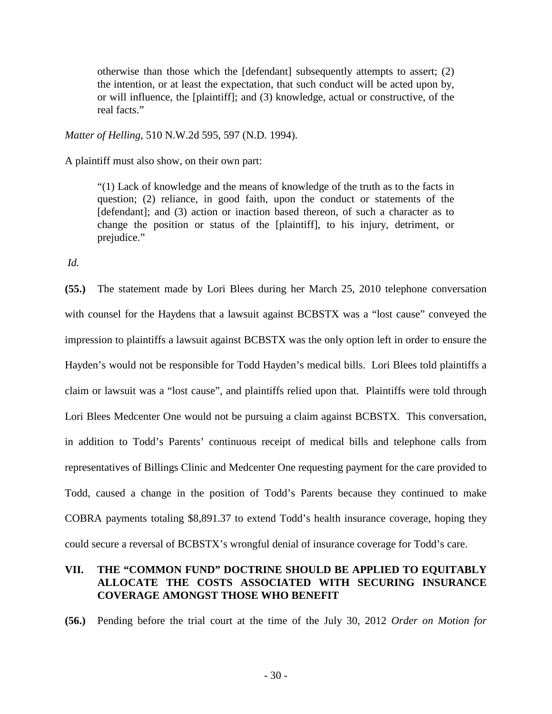otherwise than those which the [defendant] subsequently attempts to assert; (2) the intention, or at least the expectation, that such conduct will be acted upon by, or will influence, the [plaintiff]; and (3) knowledge, actual or constructive, of the real facts."

*Matter of Helling*, 510 N.W.2d 595, 597 (N.D. 1994).

A plaintiff must also show, on their own part:

"(1) Lack of knowledge and the means of knowledge of the truth as to the facts in question; (2) reliance, in good faith, upon the conduct or statements of the [defendant]; and (3) action or inaction based thereon, of such a character as to change the position or status of the [plaintiff], to his injury, detriment, or prejudice."

*Id.* 

**(55.)** The statement made by Lori Blees during her March 25, 2010 telephone conversation with counsel for the Haydens that a lawsuit against BCBSTX was a "lost cause" conveyed the impression to plaintiffs a lawsuit against BCBSTX was the only option left in order to ensure the Hayden's would not be responsible for Todd Hayden's medical bills. Lori Blees told plaintiffs a claim or lawsuit was a "lost cause", and plaintiffs relied upon that. Plaintiffs were told through Lori Blees Medcenter One would not be pursuing a claim against BCBSTX. This conversation, in addition to Todd's Parents' continuous receipt of medical bills and telephone calls from representatives of Billings Clinic and Medcenter One requesting payment for the care provided to Todd, caused a change in the position of Todd's Parents because they continued to make COBRA payments totaling \$8,891.37 to extend Todd's health insurance coverage, hoping they could secure a reversal of BCBSTX's wrongful denial of insurance coverage for Todd's care.

# **VII. THE "COMMON FUND" DOCTRINE SHOULD BE APPLIED TO EQUITABLY ALLOCATE THE COSTS ASSOCIATED WITH SECURING INSURANCE COVERAGE AMONGST THOSE WHO BENEFIT**

**(56.)** Pending before the trial court at the time of the July 30, 2012 *Order on Motion for*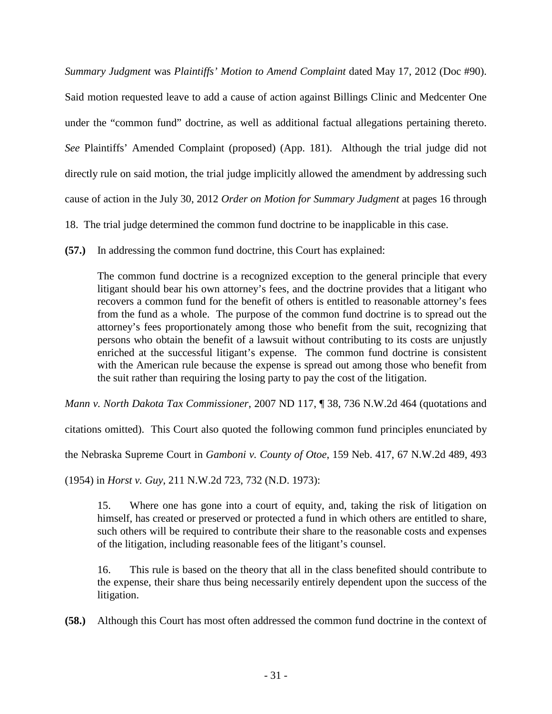*Summary Judgment* was *Plaintiffs' Motion to Amend Complaint* dated May 17, 2012 (Doc #90).

Said motion requested leave to add a cause of action against Billings Clinic and Medcenter One under the "common fund" doctrine, as well as additional factual allegations pertaining thereto. *See* Plaintiffs' Amended Complaint (proposed) (App. 181). Although the trial judge did not directly rule on said motion, the trial judge implicitly allowed the amendment by addressing such cause of action in the July 30, 2012 *Order on Motion for Summary Judgment* at pages 16 through

18. The trial judge determined the common fund doctrine to be inapplicable in this case.

**(57.)** In addressing the common fund doctrine, this Court has explained:

The common fund doctrine is a recognized exception to the general principle that every litigant should bear his own attorney's fees, and the doctrine provides that a litigant who recovers a common fund for the benefit of others is entitled to reasonable attorney's fees from the fund as a whole. The purpose of the common fund doctrine is to spread out the attorney's fees proportionately among those who benefit from the suit, recognizing that persons who obtain the benefit of a lawsuit without contributing to its costs are unjustly enriched at the successful litigant's expense. The common fund doctrine is consistent with the American rule because the expense is spread out among those who benefit from the suit rather than requiring the losing party to pay the cost of the litigation.

*Mann v. North Dakota Tax Commissioner*, 2007 ND 117, ¶ 38, 736 N.W.2d 464 (quotations and

citations omitted). This Court also quoted the following common fund principles enunciated by

the Nebraska Supreme Court in *Gamboni v. County of Otoe*, 159 Neb. 417, 67 N.W.2d 489, 493

(1954) in *Horst v. Guy*, 211 N.W.2d 723, 732 (N.D. 1973):

15. Where one has gone into a court of equity, and, taking the risk of litigation on himself, has created or preserved or protected a fund in which others are entitled to share, such others will be required to contribute their share to the reasonable costs and expenses of the litigation, including reasonable fees of the litigant's counsel.

16. This rule is based on the theory that all in the class benefited should contribute to the expense, their share thus being necessarily entirely dependent upon the success of the litigation.

**(58.)** Although this Court has most often addressed the common fund doctrine in the context of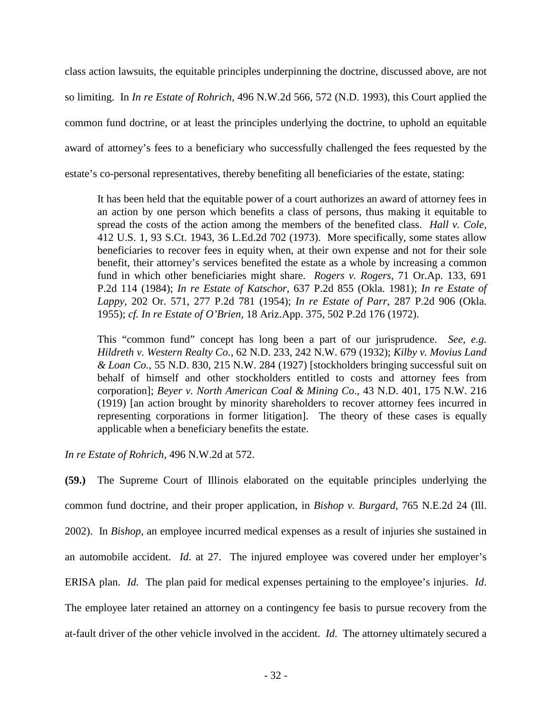class action lawsuits, the equitable principles underpinning the doctrine, discussed above, are not so limiting. In *In re Estate of Rohrich*, 496 N.W.2d 566, 572 (N.D. 1993), this Court applied the common fund doctrine, or at least the principles underlying the doctrine, to uphold an equitable award of attorney's fees to a beneficiary who successfully challenged the fees requested by the estate's co-personal representatives, thereby benefiting all beneficiaries of the estate, stating:

It has been held that the equitable power of a court authorizes an award of attorney fees in an action by one person which benefits a class of persons, thus making it equitable to spread the costs of the action among the members of the benefited class. *Hall v. Cole*, 412 U.S. 1, 93 S.Ct. 1943, 36 L.Ed.2d 702 (1973). More specifically, some states allow beneficiaries to recover fees in equity when, at their own expense and not for their sole benefit, their attorney's services benefited the estate as a whole by increasing a common fund in which other beneficiaries might share. *Rogers v. Rogers*, 71 Or.Ap. 133, 691 P.2d 114 (1984); *In re Estate of Katschor*, 637 P.2d 855 (Okla. 1981); *In re Estate of Lappy*, 202 Or. 571, 277 P.2d 781 (1954); *In re Estate of Parr*, 287 P.2d 906 (Okla. 1955); *cf. In re Estate of O'Brien*, 18 Ariz.App. 375, 502 P.2d 176 (1972).

This "common fund" concept has long been a part of our jurisprudence. *See, e.g. Hildreth v. Western Realty Co.*, 62 N.D. 233, 242 N.W. 679 (1932); *Kilby v. Movius Land & Loan Co.*, 55 N.D. 830, 215 N.W. 284 (1927) [stockholders bringing successful suit on behalf of himself and other stockholders entitled to costs and attorney fees from corporation]; *Beyer v. North American Coal & Mining Co*., 43 N.D. 401, 175 N.W. 216 (1919) [an action brought by minority shareholders to recover attorney fees incurred in representing corporations in former litigation]. The theory of these cases is equally applicable when a beneficiary benefits the estate.

*In re Estate of Rohrich*, 496 N.W.2d at 572.

**(59.)** The Supreme Court of Illinois elaborated on the equitable principles underlying the common fund doctrine, and their proper application, in *Bishop v. Burgard*, 765 N.E.2d 24 (Ill. 2002). In *Bishop*, an employee incurred medical expenses as a result of injuries she sustained in an automobile accident. *Id*. at 27. The injured employee was covered under her employer's ERISA plan. *Id.* The plan paid for medical expenses pertaining to the employee's injuries. *Id*. The employee later retained an attorney on a contingency fee basis to pursue recovery from the at-fault driver of the other vehicle involved in the accident. *Id*. The attorney ultimately secured a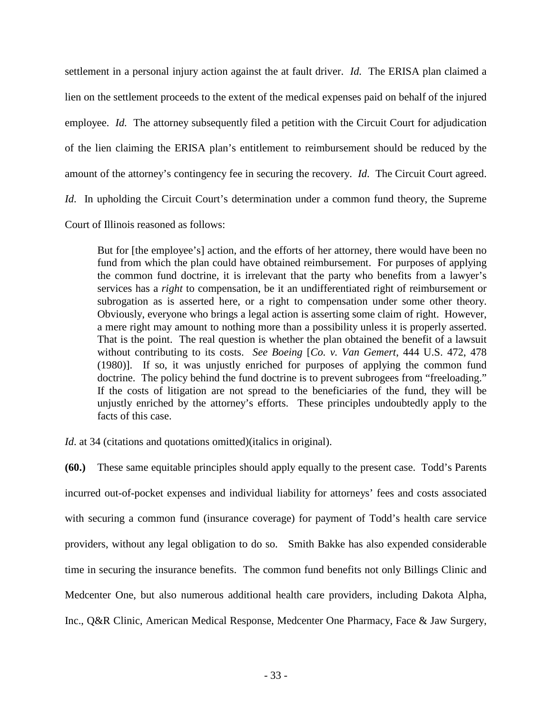settlement in a personal injury action against the at fault driver. *Id.* The ERISA plan claimed a lien on the settlement proceeds to the extent of the medical expenses paid on behalf of the injured employee. *Id.* The attorney subsequently filed a petition with the Circuit Court for adjudication of the lien claiming the ERISA plan's entitlement to reimbursement should be reduced by the amount of the attorney's contingency fee in securing the recovery. *Id*. The Circuit Court agreed. *Id.* In upholding the Circuit Court's determination under a common fund theory, the Supreme Court of Illinois reasoned as follows:

But for [the employee's] action, and the efforts of her attorney, there would have been no fund from which the plan could have obtained reimbursement. For purposes of applying the common fund doctrine, it is irrelevant that the party who benefits from a lawyer's services has a *right* to compensation, be it an undifferentiated right of reimbursement or subrogation as is asserted here, or a right to compensation under some other theory. Obviously, everyone who brings a legal action is asserting some claim of right. However, a mere right may amount to nothing more than a possibility unless it is properly asserted. That is the point. The real question is whether the plan obtained the benefit of a lawsuit without contributing to its costs. *See Boeing* [*Co. v. Van Gemert*, 444 U.S. 472, 478 (1980)]. If so, it was unjustly enriched for purposes of applying the common fund doctrine. The policy behind the fund doctrine is to prevent subrogees from "freeloading." If the costs of litigation are not spread to the beneficiaries of the fund, they will be unjustly enriched by the attorney's efforts. These principles undoubtedly apply to the facts of this case.

*Id.* at 34 (citations and quotations omitted) (italics in original).

**(60.)** These same equitable principles should apply equally to the present case. Todd's Parents incurred out-of-pocket expenses and individual liability for attorneys' fees and costs associated with securing a common fund (insurance coverage) for payment of Todd's health care service providers, without any legal obligation to do so. Smith Bakke has also expended considerable time in securing the insurance benefits. The common fund benefits not only Billings Clinic and Medcenter One, but also numerous additional health care providers, including Dakota Alpha, Inc., Q&R Clinic, American Medical Response, Medcenter One Pharmacy, Face & Jaw Surgery,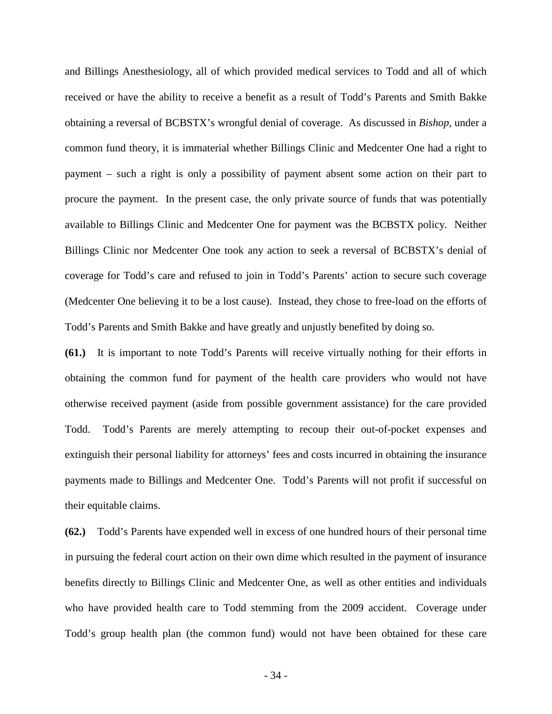and Billings Anesthesiology, all of which provided medical services to Todd and all of which received or have the ability to receive a benefit as a result of Todd's Parents and Smith Bakke obtaining a reversal of BCBSTX's wrongful denial of coverage. As discussed in *Bishop*, under a common fund theory, it is immaterial whether Billings Clinic and Medcenter One had a right to payment – such a right is only a possibility of payment absent some action on their part to procure the payment. In the present case, the only private source of funds that was potentially available to Billings Clinic and Medcenter One for payment was the BCBSTX policy. Neither Billings Clinic nor Medcenter One took any action to seek a reversal of BCBSTX's denial of coverage for Todd's care and refused to join in Todd's Parents' action to secure such coverage (Medcenter One believing it to be a lost cause). Instead, they chose to free-load on the efforts of Todd's Parents and Smith Bakke and have greatly and unjustly benefited by doing so.

**(61.)** It is important to note Todd's Parents will receive virtually nothing for their efforts in obtaining the common fund for payment of the health care providers who would not have otherwise received payment (aside from possible government assistance) for the care provided Todd. Todd's Parents are merely attempting to recoup their out-of-pocket expenses and extinguish their personal liability for attorneys' fees and costs incurred in obtaining the insurance payments made to Billings and Medcenter One. Todd's Parents will not profit if successful on their equitable claims.

**(62.)** Todd's Parents have expended well in excess of one hundred hours of their personal time in pursuing the federal court action on their own dime which resulted in the payment of insurance benefits directly to Billings Clinic and Medcenter One, as well as other entities and individuals who have provided health care to Todd stemming from the 2009 accident. Coverage under Todd's group health plan (the common fund) would not have been obtained for these care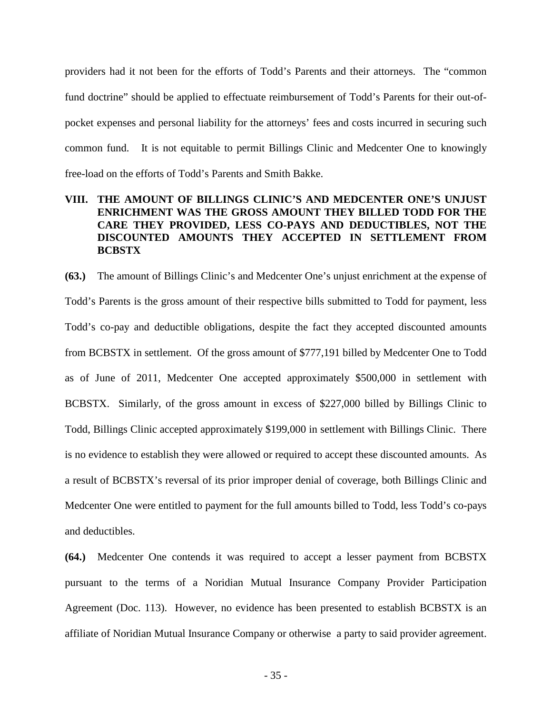providers had it not been for the efforts of Todd's Parents and their attorneys. The "common fund doctrine" should be applied to effectuate reimbursement of Todd's Parents for their out-ofpocket expenses and personal liability for the attorneys' fees and costs incurred in securing such common fund. It is not equitable to permit Billings Clinic and Medcenter One to knowingly free-load on the efforts of Todd's Parents and Smith Bakke.

# **VIII. THE AMOUNT OF BILLINGS CLINIC'S AND MEDCENTER ONE'S UNJUST ENRICHMENT WAS THE GROSS AMOUNT THEY BILLED TODD FOR THE CARE THEY PROVIDED, LESS CO-PAYS AND DEDUCTIBLES, NOT THE DISCOUNTED AMOUNTS THEY ACCEPTED IN SETTLEMENT FROM BCBSTX**

**(63.)** The amount of Billings Clinic's and Medcenter One's unjust enrichment at the expense of Todd's Parents is the gross amount of their respective bills submitted to Todd for payment, less Todd's co-pay and deductible obligations, despite the fact they accepted discounted amounts from BCBSTX in settlement. Of the gross amount of \$777,191 billed by Medcenter One to Todd as of June of 2011, Medcenter One accepted approximately \$500,000 in settlement with BCBSTX. Similarly, of the gross amount in excess of \$227,000 billed by Billings Clinic to Todd, Billings Clinic accepted approximately \$199,000 in settlement with Billings Clinic. There is no evidence to establish they were allowed or required to accept these discounted amounts. As a result of BCBSTX's reversal of its prior improper denial of coverage, both Billings Clinic and Medcenter One were entitled to payment for the full amounts billed to Todd, less Todd's co-pays and deductibles.

**(64.)** Medcenter One contends it was required to accept a lesser payment from BCBSTX pursuant to the terms of a Noridian Mutual Insurance Company Provider Participation Agreement (Doc. 113). However, no evidence has been presented to establish BCBSTX is an affiliate of Noridian Mutual Insurance Company or otherwise a party to said provider agreement.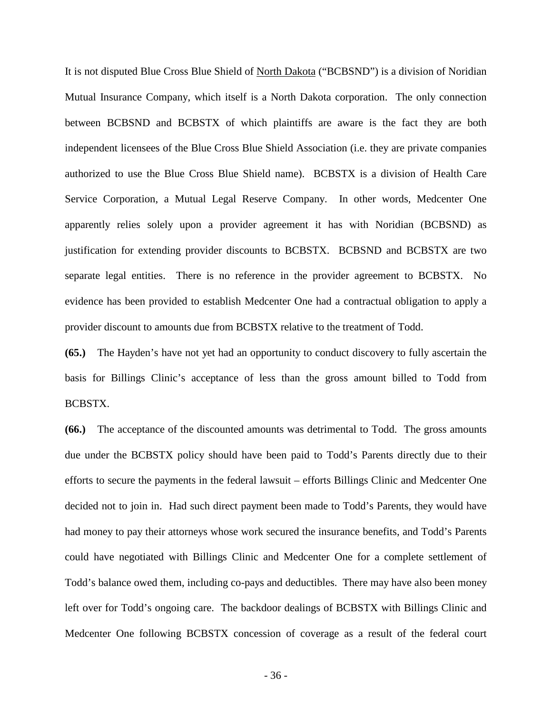It is not disputed Blue Cross Blue Shield of North Dakota ("BCBSND") is a division of Noridian Mutual Insurance Company, which itself is a North Dakota corporation. The only connection between BCBSND and BCBSTX of which plaintiffs are aware is the fact they are both independent licensees of the Blue Cross Blue Shield Association (i.e. they are private companies authorized to use the Blue Cross Blue Shield name). BCBSTX is a division of Health Care Service Corporation, a Mutual Legal Reserve Company. In other words, Medcenter One apparently relies solely upon a provider agreement it has with Noridian (BCBSND) as justification for extending provider discounts to BCBSTX. BCBSND and BCBSTX are two separate legal entities. There is no reference in the provider agreement to BCBSTX. No evidence has been provided to establish Medcenter One had a contractual obligation to apply a provider discount to amounts due from BCBSTX relative to the treatment of Todd.

**(65.)** The Hayden's have not yet had an opportunity to conduct discovery to fully ascertain the basis for Billings Clinic's acceptance of less than the gross amount billed to Todd from BCBSTX.

**(66.)** The acceptance of the discounted amounts was detrimental to Todd. The gross amounts due under the BCBSTX policy should have been paid to Todd's Parents directly due to their efforts to secure the payments in the federal lawsuit – efforts Billings Clinic and Medcenter One decided not to join in. Had such direct payment been made to Todd's Parents, they would have had money to pay their attorneys whose work secured the insurance benefits, and Todd's Parents could have negotiated with Billings Clinic and Medcenter One for a complete settlement of Todd's balance owed them, including co-pays and deductibles. There may have also been money left over for Todd's ongoing care. The backdoor dealings of BCBSTX with Billings Clinic and Medcenter One following BCBSTX concession of coverage as a result of the federal court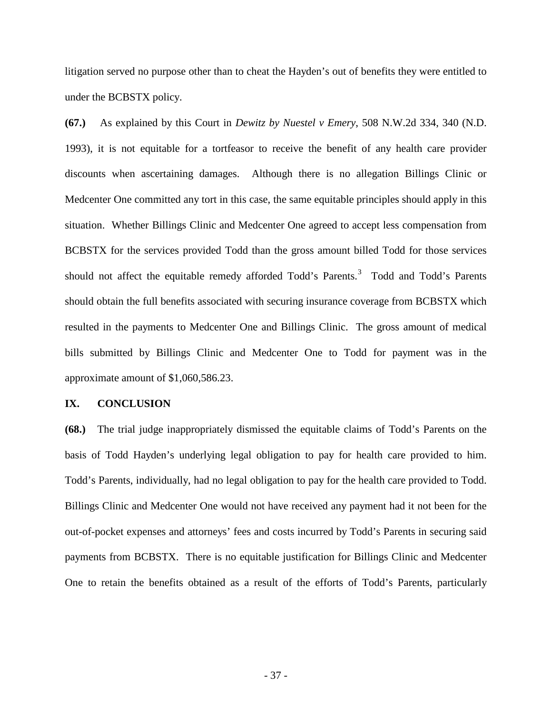litigation served no purpose other than to cheat the Hayden's out of benefits they were entitled to under the BCBSTX policy.

**(67.)** As explained by this Court in *Dewitz by Nuestel v Emery*, 508 N.W.2d 334, 340 (N.D. 1993), it is not equitable for a tortfeasor to receive the benefit of any health care provider discounts when ascertaining damages. Although there is no allegation Billings Clinic or Medcenter One committed any tort in this case, the same equitable principles should apply in this situation. Whether Billings Clinic and Medcenter One agreed to accept less compensation from BCBSTX for the services provided Todd than the gross amount billed Todd for those services should not affect the equitable remedy afforded Todd's Parents.<sup>[3](#page-36-0)</sup> Todd and Todd's Parents should obtain the full benefits associated with securing insurance coverage from BCBSTX which resulted in the payments to Medcenter One and Billings Clinic. The gross amount of medical bills submitted by Billings Clinic and Medcenter One to Todd for payment was in the approximate amount of \$1,060,586.23.

#### **IX. CONCLUSION**

<span id="page-36-0"></span>**(68.)** The trial judge inappropriately dismissed the equitable claims of Todd's Parents on the basis of Todd Hayden's underlying legal obligation to pay for health care provided to him. Todd's Parents, individually, had no legal obligation to pay for the health care provided to Todd. Billings Clinic and Medcenter One would not have received any payment had it not been for the out-of-pocket expenses and attorneys' fees and costs incurred by Todd's Parents in securing said payments from BCBSTX. There is no equitable justification for Billings Clinic and Medcenter One to retain the benefits obtained as a result of the efforts of Todd's Parents, particularly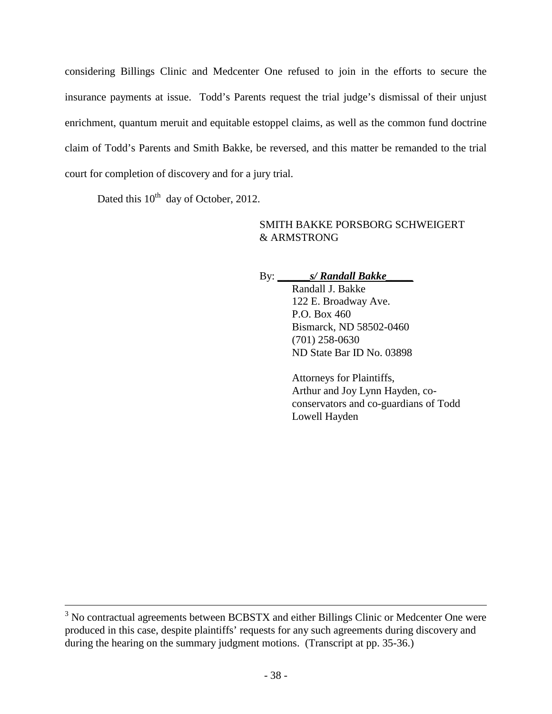considering Billings Clinic and Medcenter One refused to join in the efforts to secure the insurance payments at issue. Todd's Parents request the trial judge's dismissal of their unjust enrichment, quantum meruit and equitable estoppel claims, as well as the common fund doctrine claim of Todd's Parents and Smith Bakke, be reversed, and this matter be remanded to the trial court for completion of discovery and for a jury trial.

Dated this  $10^{th}$  day of October, 2012.

# SMITH BAKKE PORSBORG SCHWEIGERT & ARMSTRONG

By: **\_\_\_\_\_\_***s/ Randall Bakke\_\_\_\_\_*

Randall J. Bakke 122 E. Broadway Ave. P.O. Box 460 Bismarck, ND 58502-0460 (701) 258-0630 ND State Bar ID No. 03898

Attorneys for Plaintiffs, Arthur and Joy Lynn Hayden, coconservators and co-guardians of Todd Lowell Hayden

<sup>&</sup>lt;sup>3</sup> No contractual agreements between BCBSTX and either Billings Clinic or Medcenter One were produced in this case, despite plaintiffs' requests for any such agreements during discovery and during the hearing on the summary judgment motions. (Transcript at pp. 35-36.)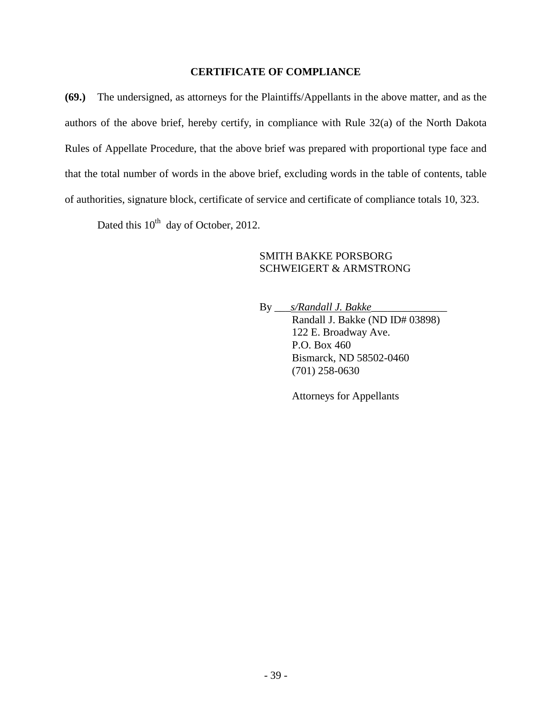### **CERTIFICATE OF COMPLIANCE**

**(69.)** The undersigned, as attorneys for the Plaintiffs/Appellants in the above matter, and as the authors of the above brief, hereby certify, in compliance with Rule 32(a) of the North Dakota Rules of Appellate Procedure, that the above brief was prepared with proportional type face and that the total number of words in the above brief, excluding words in the table of contents, table of authorities, signature block, certificate of service and certificate of compliance totals 10, 323.

Dated this  $10^{th}$  day of October, 2012.

### SMITH BAKKE PORSBORG SCHWEIGERT & ARMSTRONG

By \_\_\_*s/Randall J. Bakke*\_\_\_\_\_\_\_\_\_\_\_\_\_\_ Randall J. Bakke (ND ID# 03898) 122 E. Broadway Ave. P.O. Box 460 Bismarck, ND 58502-0460 (701) 258-0630

Attorneys for Appellants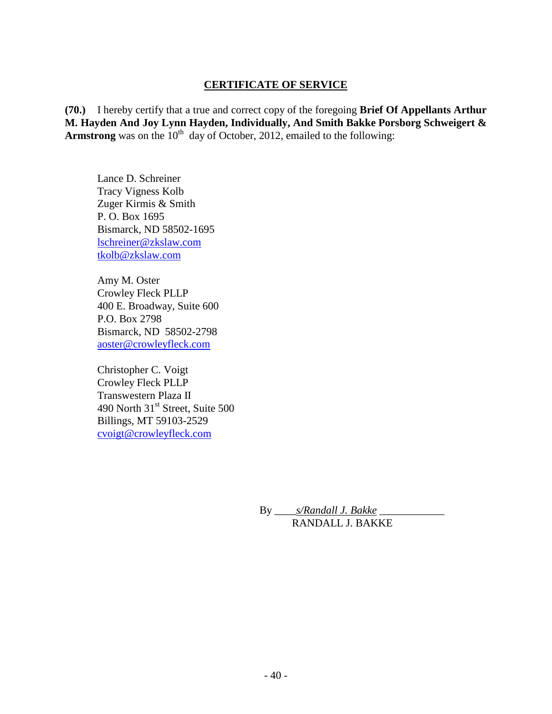## **CERTIFICATE OF SERVICE**

**(70.)** I hereby certify that a true and correct copy of the foregoing **Brief Of Appellants Arthur M. Hayden And Joy Lynn Hayden, Individually, And Smith Bakke Porsborg Schweigert & Armstrong** was on the  $10<sup>th</sup>$  day of October, 2012, emailed to the following:

Lance D. Schreiner Tracy Vigness Kolb Zuger Kirmis & Smith P. O. Box 1695 Bismarck, ND 58502-1695 [lschreiner@zkslaw.com](mailto:lschreiner@zkslaw.com) [tkolb@zkslaw.com](mailto:tkolb@zkslaw.com)

Amy M. Oster Crowley Fleck PLLP 400 E. Broadway, Suite 600 P.O. Box 2798 Bismarck, ND 58502-2798 [aoster@crowleyfleck.com](mailto:aoster@crowleyfleck.com)

Christopher C. Voigt Crowley Fleck PLLP Transwestern Plaza II 490 North  $31<sup>st</sup>$  Street, Suite 500 Billings, MT 59103-2529 [cvoigt@crowleyfleck.com](mailto:cvoigt@crowleyfleck.com)

> By \_\_\_\_*s/Randall J. Bakke* \_\_\_\_\_\_\_\_\_\_\_\_ RANDALL J. BAKKE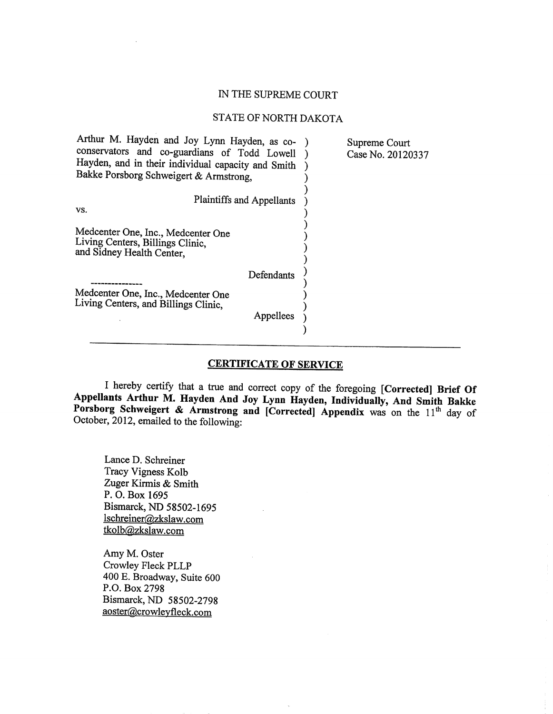#### IN THE SUPREME COURT

#### STATE OF NORTH DAKOTA

| Arthur M. Hayden and Joy Lynn Hayden, as co-<br>Supreme Court<br>Case No. 20120337 |
|------------------------------------------------------------------------------------|
|                                                                                    |
|                                                                                    |
|                                                                                    |
|                                                                                    |
|                                                                                    |

#### **CERTIFICATE OF SERVICE**

I hereby certify that a true and correct copy of the foregoing [Corrected] Brief Of Appellants Arthur M. Hayden And Joy Lynn Hayden, Individually, And Smith Bakke Porsborg Schweigert & Armstrong and [Corrected] Appendix was on the 11<sup>th</sup> day of October, 2012, emailed to the following:

Lance D. Schreiner Tracy Vigness Kolb Zuger Kirmis & Smith P. O. Box 1695 Bismarck, ND 58502-1695 lschreiner@zkslaw.com tkolb@zkslaw.com

Amy M. Oster Crowley Fleck PLLP 400 E. Broadway, Suite 600 P.O. Box 2798 Bismarck, ND 58502-2798 aoster@crowleyfleck.com